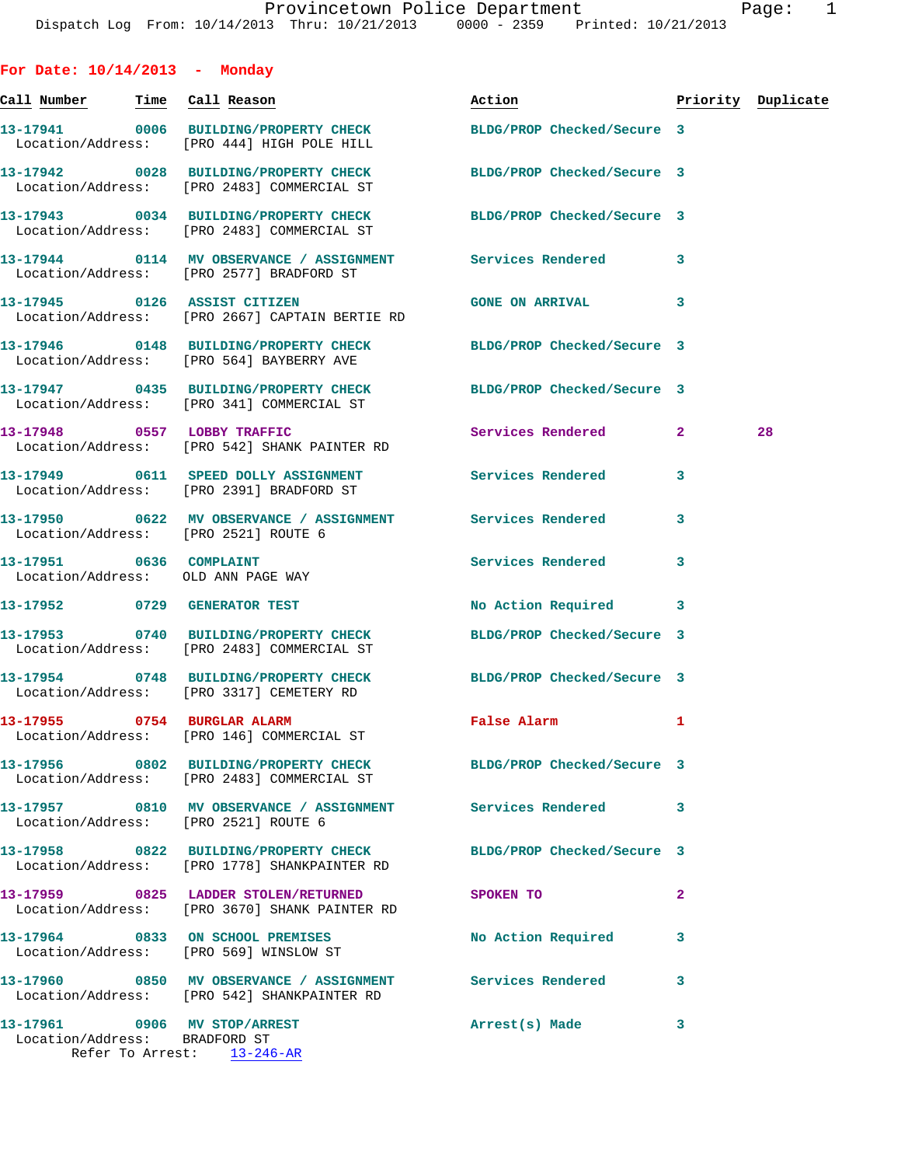| For Date: 10/14/2013 - Monday                                 |                                                                                                                  |                            |                    |    |
|---------------------------------------------------------------|------------------------------------------------------------------------------------------------------------------|----------------------------|--------------------|----|
| Call Number Time Call Reason                                  |                                                                                                                  | <u>Action</u>              | Priority Duplicate |    |
|                                                               | 13-17941 0006 BUILDING/PROPERTY CHECK BLDG/PROP Checked/Secure 3<br>Location/Address: [PRO 444] HIGH POLE HILL   |                            |                    |    |
|                                                               | 13-17942 0028 BUILDING/PROPERTY CHECK BLDG/PROP Checked/Secure 3<br>Location/Address: [PRO 2483] COMMERCIAL ST   |                            |                    |    |
|                                                               | 13-17943 0034 BUILDING/PROPERTY CHECK<br>Location/Address: [PRO 2483] COMMERCIAL ST                              | BLDG/PROP Checked/Secure 3 |                    |    |
|                                                               | 13-17944 0114 MV OBSERVANCE / ASSIGNMENT Services Rendered<br>Location/Address: [PRO 2577] BRADFORD ST           |                            | 3                  |    |
|                                                               | 13-17945 0126 ASSIST CITIZEN<br>Location/Address: [PRO 2667] CAPTAIN BERTIE RD                                   | <b>GONE ON ARRIVAL</b>     | 3                  |    |
|                                                               | 13-17946 0148 BUILDING/PROPERTY CHECK BLDG/PROP Checked/Secure 3<br>Location/Address: [PRO 564] BAYBERRY AVE     |                            |                    |    |
|                                                               | 13-17947 0435 BUILDING/PROPERTY CHECK BLDG/PROP Checked/Secure 3<br>Location/Address: [PRO 341] COMMERCIAL ST    |                            |                    |    |
|                                                               | 13-17948 0557 LOBBY TRAFFIC<br>Location/Address: [PRO 542] SHANK PAINTER RD                                      | Services Rendered          | $\mathbf{2}$       | 28 |
|                                                               | 13-17949 0611 SPEED DOLLY ASSIGNMENT Services Rendered<br>Location/Address: [PRO 2391] BRADFORD ST               |                            | 3                  |    |
|                                                               | 13-17950 0622 MV OBSERVANCE / ASSIGNMENT Services Rendered<br>Location/Address: [PRO 2521] ROUTE 6               |                            | 3                  |    |
| 13-17951 0636 COMPLAINT                                       | Location/Address: OLD ANN PAGE WAY                                                                               | Services Rendered          | 3                  |    |
|                                                               | 13-17952 0729 GENERATOR TEST                                                                                     | No Action Required 3       |                    |    |
|                                                               | 13-17953 0740 BUILDING/PROPERTY CHECK BLDG/PROP Checked/Secure 3<br>Location/Address: [PRO 2483] COMMERCIAL ST   |                            |                    |    |
|                                                               | 13-17954 0748 BUILDING/PROPERTY CHECK BLDG/PROP Checked/Secure 3<br>Location/Address: [PRO 3317] CEMETERY RD     |                            |                    |    |
|                                                               | 13-17955 0754 BURGLAR ALARM<br>Location/Address: [PRO 146] COMMERCIAL ST                                         | <b>False Alarm</b>         |                    |    |
|                                                               | 13-17956 0802 BUILDING/PROPERTY CHECK BLDG/PROP Checked/Secure 3<br>Location/Address: [PRO 2483] COMMERCIAL ST   |                            |                    |    |
|                                                               | 13-17957 0810 MV OBSERVANCE / ASSIGNMENT Services Rendered<br>Location/Address: [PRO 2521] ROUTE 6               |                            | 3                  |    |
|                                                               | 13-17958 0822 BUILDING/PROPERTY CHECK BLDG/PROP Checked/Secure 3<br>Location/Address: [PRO 1778] SHANKPAINTER RD |                            |                    |    |
|                                                               | 13-17959 0825 LADDER STOLEN/RETURNED<br>Location/Address: [PRO 3670] SHANK PAINTER RD                            | SPOKEN TO                  | $\overline{a}$     |    |
|                                                               | 13-17964 0833 ON SCHOOL PREMISES<br>Location/Address: [PRO 569] WINSLOW ST                                       | No Action Required         | 3                  |    |
|                                                               | 13-17960 0850 MV OBSERVANCE / ASSIGNMENT Services Rendered<br>Location/Address: [PRO 542] SHANKPAINTER RD        |                            | 3                  |    |
| 13-17961 0906 MV STOP/ARREST<br>Location/Address: BRADFORD ST | Refer To Arrest: 13-246-AR                                                                                       | Arrest(s) Made             | 3                  |    |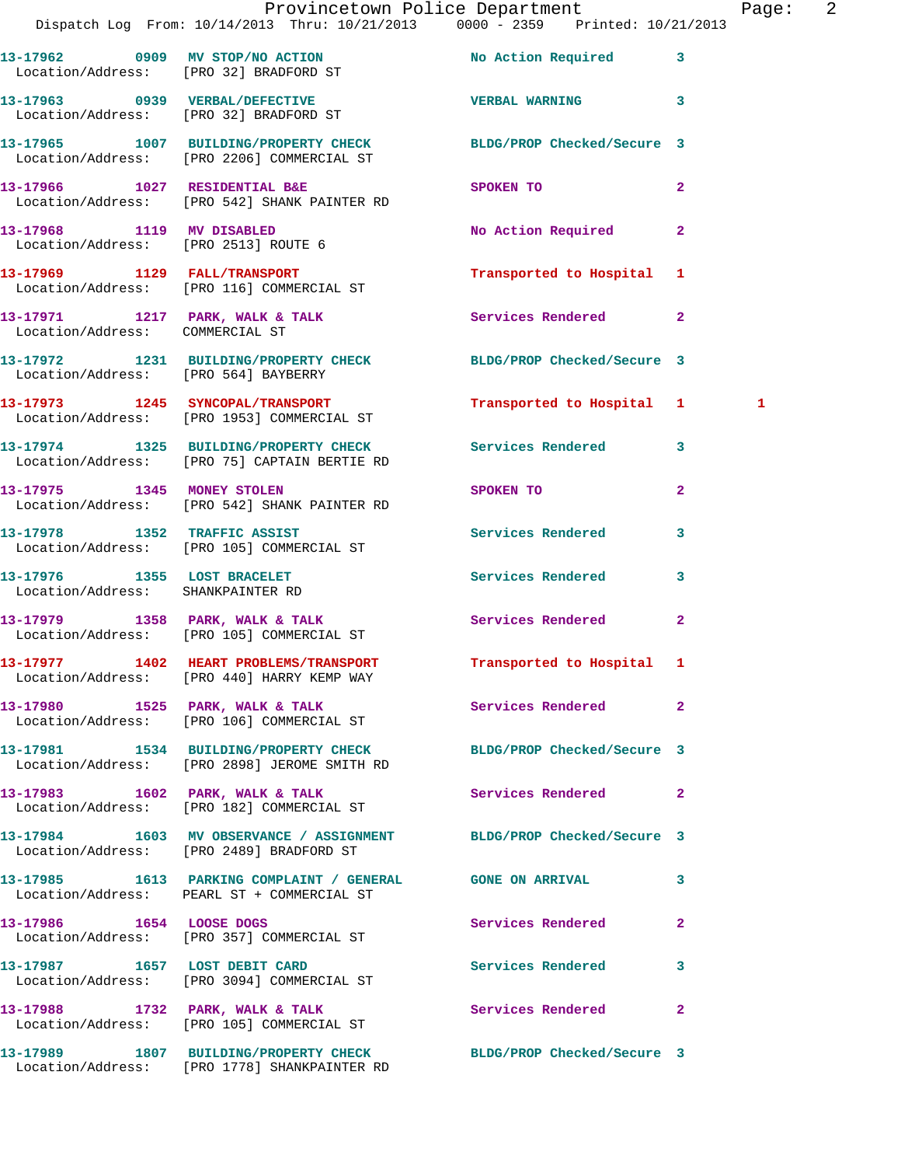|                                                                  | Dispatch Log From: 10/14/2013 Thru: 10/21/2013 0000 - 2359 Printed: 10/21/2013                                   | Provincetown Police Department | Page: 2                 |
|------------------------------------------------------------------|------------------------------------------------------------------------------------------------------------------|--------------------------------|-------------------------|
|                                                                  | 13-17962 0909 MV STOP/NO ACTION No Action Required 3<br>Location/Address: [PRO 32] BRADFORD ST                   |                                |                         |
|                                                                  | 13-17963 0939 VERBAL/DEFECTIVE<br>Location/Address: [PRO 32] BRADFORD ST                                         | <b>VERBAL WARNING</b> 3        |                         |
|                                                                  | 13-17965 1007 BUILDING/PROPERTY CHECK BLDG/PROP Checked/Secure 3<br>Location/Address: [PRO 2206] COMMERCIAL ST   |                                |                         |
|                                                                  | 13-17966 1027 RESIDENTIAL B&E<br>Location/Address: [PRO 542] SHANK PAINTER RD                                    | SPOKEN TO                      | $\mathbf{2}$            |
|                                                                  |                                                                                                                  | No Action Required             | $\mathbf{2}$            |
|                                                                  | 13-17969 1129 FALL/TRANSPORT<br>Location/Address: [PRO 116] COMMERCIAL ST                                        | Transported to Hospital 1      |                         |
| Location/Address: COMMERCIAL ST                                  | 13-17971 1217 PARK, WALK & TALK 1997 Services Rendered 2                                                         |                                |                         |
| Location/Address: [PRO 564] BAYBERRY                             | 13-17972 1231 BUILDING/PROPERTY CHECK BLDG/PROP Checked/Secure 3                                                 |                                |                         |
|                                                                  | 13-17973 1245 SYNCOPAL/TRANSPORT<br>Location/Address: [PRO 1953] COMMERCIAL ST                                   | Transported to Hospital 1      | 1                       |
|                                                                  | 13-17974 1325 BUILDING/PROPERTY CHECK Services Rendered 3<br>Location/Address: [PRO 75] CAPTAIN BERTIE RD        |                                |                         |
|                                                                  | 13-17975 1345 MONEY STOLEN<br>Location/Address: [PRO 542] SHANK PAINTER RD                                       | SPOKEN TO AND THE SPOKEN TO    | $\overline{2}$          |
|                                                                  | 13-17978               1352    TRAFFIC ASSIST<br>Location/Address:     [PRO 105] COMMERCIAL ST                   | Services Rendered              | $\overline{\mathbf{3}}$ |
| 13-17976 1355 LOST BRACELET<br>Location/Address: SHANKPAINTER RD |                                                                                                                  | Services Rendered 3            |                         |
|                                                                  |                                                                                                                  | Services Rendered 2            |                         |
|                                                                  | 13-17977 1402 HEART PROBLEMS/TRANSPORT Transported to Hospital 1<br>Location/Address: [PRO 440] HARRY KEMP WAY   |                                |                         |
|                                                                  | 13-17980 1525 PARK, WALK & TALK<br>Location/Address: [PRO 106] COMMERCIAL ST                                     | Services Rendered 2            |                         |
|                                                                  | 13-17981 1534 BUILDING/PROPERTY CHECK BLDG/PROP Checked/Secure 3<br>Location/Address: [PRO 2898] JEROME SMITH RD |                                |                         |
|                                                                  | 13-17983 1602 PARK, WALK & TALK<br>Location/Address: [PRO 182] COMMERCIAL ST                                     | <b>Services Rendered</b> 2     |                         |
|                                                                  | 13-17984 1603 MV OBSERVANCE / ASSIGNMENT BLDG/PROP Checked/Secure 3<br>Location/Address: [PRO 2489] BRADFORD ST  |                                |                         |
|                                                                  | 13-17985 1613 PARKING COMPLAINT / GENERAL GONE ON ARRIVAL<br>Location/Address: PEARL ST + COMMERCIAL ST          |                                | 3                       |
| 13-17986 1654 LOOSE DOGS                                         | Location/Address: [PRO 357] COMMERCIAL ST                                                                        | Services Rendered              | $\mathbf{2}$            |
|                                                                  | 13-17987 1657 LOST DEBIT CARD<br>Location/Address: [PRO 3094] COMMERCIAL ST                                      | Services Rendered              | 3                       |
|                                                                  | 13-17988 1732 PARK, WALK & TALK<br>Location/Address: [PRO 105] COMMERCIAL ST                                     | Services Rendered              | $\mathbf{2}$            |
|                                                                  | 13-17989 1807 BUILDING/PROPERTY CHECK BLDG/PROP Checked/Secure 3<br>Location/Address: [PRO 1778] SHANKPAINTER RD |                                |                         |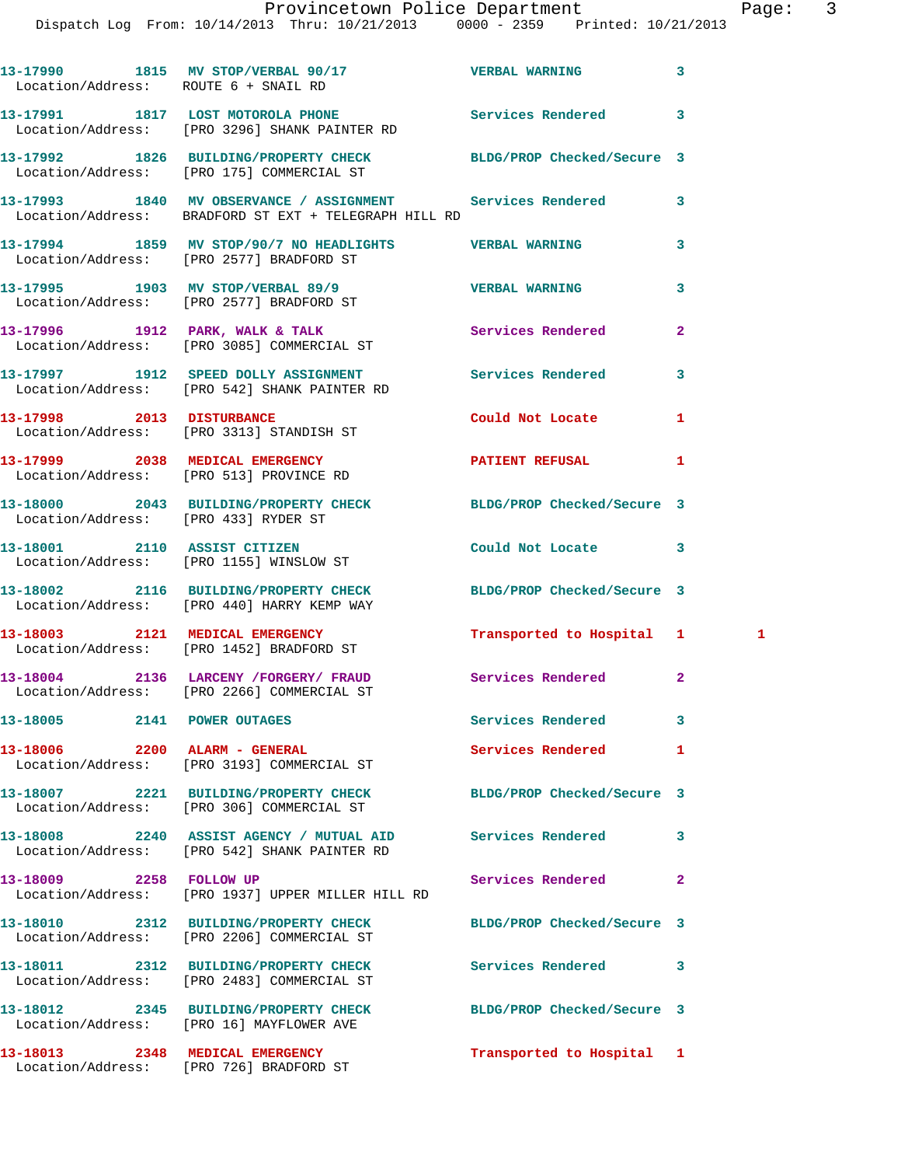|                                      | 13-17990 1815 MV STOP/VERBAL 90/17 STREAM VERBAL WARNING<br>Location/Address: ROUTE 6 + SNAIL RD                    |                             | 3              |  |
|--------------------------------------|---------------------------------------------------------------------------------------------------------------------|-----------------------------|----------------|--|
|                                      | 13-17991 1817 LOST MOTOROLA PHONE 5ervices Rendered<br>Location/Address: [PRO 3296] SHANK PAINTER RD                |                             | 3              |  |
|                                      | 13-17992 1826 BUILDING/PROPERTY CHECK BLDG/PROP Checked/Secure 3<br>Location/Address: [PRO 175] COMMERCIAL ST       |                             |                |  |
|                                      | 13-17993 1840 MV OBSERVANCE / ASSIGNMENT Services Rendered<br>Location/Address: BRADFORD ST EXT + TELEGRAPH HILL RD |                             | 3              |  |
|                                      | 13-17994 1859 MV STOP/90/7 NO HEADLIGHTS VERBAL WARNING<br>Location/Address: [PRO 2577] BRADFORD ST                 |                             | 3              |  |
|                                      | 13-17995 1903 MV STOP/VERBAL 89/9<br>Location/Address: [PRO 2577] BRADFORD ST                                       | <b>VERBAL WARNING</b>       | 3              |  |
|                                      | 13-17996 1912 PARK, WALK & TALK<br>Location/Address: [PRO 3085] COMMERCIAL ST                                       | <b>Services Rendered</b>    | $\mathbf{2}$   |  |
|                                      | 13-17997 1912 SPEED DOLLY ASSIGNMENT<br>Location/Address: [PRO 542] SHANK PAINTER RD                                | Services Rendered           | 3              |  |
|                                      | 13-17998 2013 DISTURBANCE<br>Location/Address: [PRO 3313] STANDISH ST                                               | Could Not Locate            | 1              |  |
|                                      | 13-17999 2038 MEDICAL EMERGENCY PATIENT REFUSAL<br>Location/Address: [PRO 513] PROVINCE RD                          |                             | 1              |  |
| Location/Address: [PRO 433] RYDER ST | 13-18000 2043 BUILDING/PROPERTY CHECK BLDG/PROP Checked/Secure 3                                                    |                             |                |  |
|                                      | 13-18001 2110 ASSIST CITIZEN<br>Location/Address: [PRO 1155] WINSLOW ST                                             | Could Not Locate 3          |                |  |
|                                      | 13-18002 2116 BUILDING/PROPERTY CHECK BLDG/PROP Checked/Secure 3<br>Location/Address: [PRO 440] HARRY KEMP WAY      |                             |                |  |
|                                      | 13-18003 2121 MEDICAL EMERGENCY<br>Location/Address: [PRO 1452] BRADFORD ST                                         | Transported to Hospital 1 1 |                |  |
|                                      | 13-18004 2136 LARCENY /FORGERY / FRAUD Services Rendered<br>Location/Address: [PRO 2266] COMMERCIAL ST              |                             | $\mathbf{2}$   |  |
| 13-18005 2141 POWER OUTAGES          |                                                                                                                     | <b>Services Rendered</b>    | 3              |  |
| 13-18006 2200 ALARM - GENERAL        | Location/Address: [PRO 3193] COMMERCIAL ST                                                                          | Services Rendered           | 1              |  |
|                                      | 13-18007 2221 BUILDING/PROPERTY CHECK<br>Location/Address: [PRO 306] COMMERCIAL ST                                  | BLDG/PROP Checked/Secure 3  |                |  |
|                                      | 13-18008 2240 ASSIST AGENCY / MUTUAL AID Services Rendered<br>Location/Address: [PRO 542] SHANK PAINTER RD          |                             | 3              |  |
| 13-18009 2258 FOLLOW UP              | Location/Address: [PRO 1937] UPPER MILLER HILL RD                                                                   | Services Rendered           | $\overline{a}$ |  |
|                                      | 13-18010 2312 BUILDING/PROPERTY CHECK<br>Location/Address: [PRO 2206] COMMERCIAL ST                                 | BLDG/PROP Checked/Secure 3  |                |  |
|                                      | 13-18011 2312 BUILDING/PROPERTY CHECK<br>Location/Address: [PRO 2483] COMMERCIAL ST                                 | Services Rendered           | 3              |  |
|                                      | 13-18012 2345 BUILDING/PROPERTY CHECK<br>Location/Address: [PRO 16] MAYFLOWER AVE                                   | BLDG/PROP Checked/Secure 3  |                |  |
|                                      | 13-18013 2348 MEDICAL EMERGENCY<br>Location/Address: [PRO 726] BRADFORD ST                                          | Transported to Hospital 1   |                |  |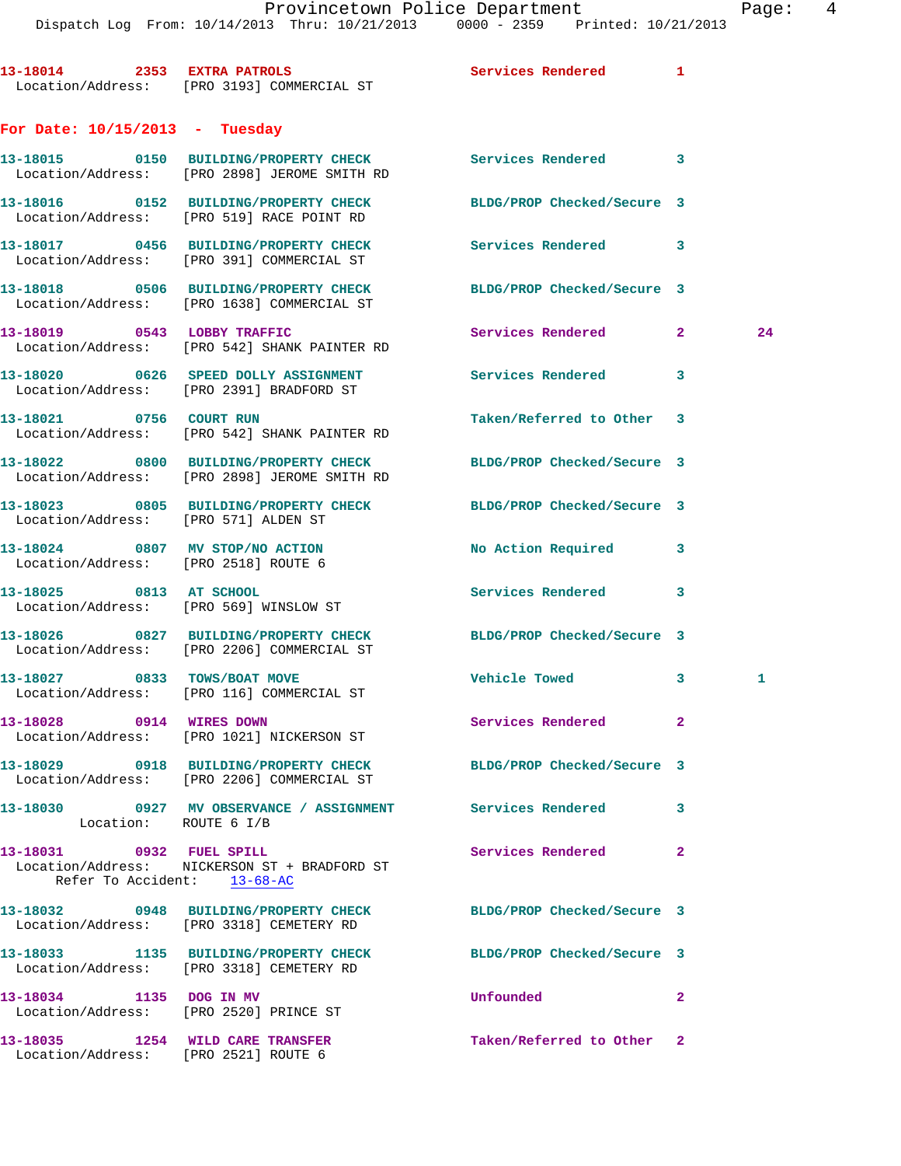**13-18014 2353 EXTRA PATROLS Services Rendered 1**  Location/Address: [PRO 3193] COMMERCIAL ST

## **For Date: 10/15/2013 - Tuesday**

Location/Address: [PRO 2521] ROUTE 6

|                                                                         | 13-18015 0150 BUILDING/PROPERTY CHECK<br>Location/Address: [PRO 2898] JEROME SMITH RD                               | Services Rendered 3        |              |    |
|-------------------------------------------------------------------------|---------------------------------------------------------------------------------------------------------------------|----------------------------|--------------|----|
|                                                                         | 13-18016 0152 BUILDING/PROPERTY CHECK<br>Location/Address: [PRO 519] RACE POINT RD                                  | BLDG/PROP Checked/Secure 3 |              |    |
|                                                                         | 13-18017 0456 BUILDING/PROPERTY CHECK<br>Location/Address: [PRO 391] COMMERCIAL ST                                  | Services Rendered 3        |              |    |
|                                                                         | 13-18018 0506 BUILDING/PROPERTY CHECK<br>Location/Address: [PRO 1638] COMMERCIAL ST                                 | BLDG/PROP Checked/Secure 3 |              |    |
|                                                                         | 13-18019 0543 LOBBY TRAFFIC<br>Location/Address: [PRO 542] SHANK PAINTER RD                                         | Services Rendered          | $\mathbf{2}$ | 24 |
|                                                                         | 13-18020 0626 SPEED DOLLY ASSIGNMENT<br>Location/Address: [PRO 2391] BRADFORD ST                                    | Services Rendered 3        |              |    |
|                                                                         | 13-18021 0756 COURT RUN<br>Location/Address: [PRO 542] SHANK PAINTER RD                                             | Taken/Referred to Other 3  |              |    |
|                                                                         | 13-18022 0800 BUILDING/PROPERTY CHECK<br>Location/Address: [PRO 2898] JEROME SMITH RD                               | BLDG/PROP Checked/Secure 3 |              |    |
| Location/Address: [PRO 571] ALDEN ST                                    | 13-18023 0805 BUILDING/PROPERTY CHECK BLDG/PROP Checked/Secure 3                                                    |                            |              |    |
| 13-18024 0807 MV STOP/NO ACTION<br>Location/Address: [PRO 2518] ROUTE 6 |                                                                                                                     | No Action Required 3       |              |    |
| 13-18025 0813 AT SCHOOL                                                 | Location/Address: [PRO 569] WINSLOW ST                                                                              | Services Rendered          | 3            |    |
|                                                                         | 13-18026 0827 BUILDING/PROPERTY CHECK<br>Location/Address: [PRO 2206] COMMERCIAL ST                                 | BLDG/PROP Checked/Secure 3 |              |    |
|                                                                         | 13-18027 0833 TOWS/BOAT MOVE<br>Location/Address: [PRO 116] COMMERCIAL ST                                           | Vehicle Towed              | 3            | 1  |
| 13-18028 0914 WIRES DOWN                                                | Location/Address: [PRO 1021] NICKERSON ST                                                                           | Services Rendered          | $\mathbf{2}$ |    |
|                                                                         | 13-18029 0918 BUILDING/PROPERTY CHECK<br>Location/Address: [PRO 2206] COMMERCIAL ST                                 | BLDG/PROP Checked/Secure 3 |              |    |
| Location: ROUTE 6 I/B                                                   | 13-18030                 0927     MV  OBSERVANCE  /  ASSIGNMENT                 Services  Rendered                3 |                            |              |    |
| 13-18031 0932 FUEL SPILL<br>Refer To Accident: 13-68-AC                 | Location/Address: NICKERSON ST + BRADFORD ST                                                                        | Services Rendered          | $\mathbf{2}$ |    |
|                                                                         | 13-18032 0948 BUILDING/PROPERTY CHECK<br>Location/Address: [PRO 3318] CEMETERY RD                                   | BLDG/PROP Checked/Secure 3 |              |    |
|                                                                         | 13-18033 1135 BUILDING/PROPERTY CHECK<br>Location/Address: [PRO 3318] CEMETERY RD                                   | BLDG/PROP Checked/Secure 3 |              |    |
| 13-18034 1135 DOG IN MV<br>Location/Address: [PRO 2520] PRINCE ST       |                                                                                                                     | Unfounded                  | $\mathbf{2}$ |    |
| 13-18035 1254 WILD CARE TRANSFER                                        |                                                                                                                     | Taken/Referred to Other 2  |              |    |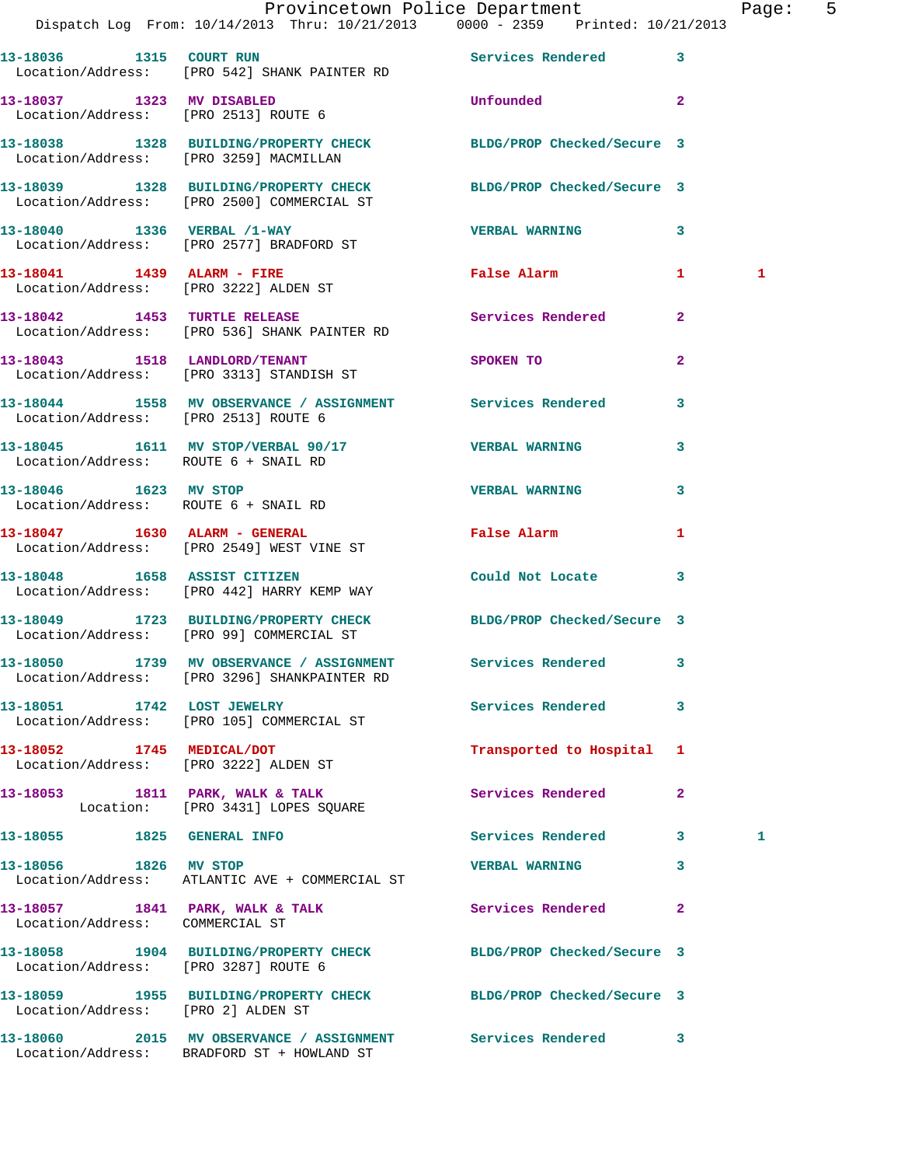|                                      | Dispatch Log From: 10/14/2013 Thru: 10/21/2013 0000 - 2359 Printed: 10/21/2013                                 | Provincetown Police Department         |                | Page: 5 |  |
|--------------------------------------|----------------------------------------------------------------------------------------------------------------|----------------------------------------|----------------|---------|--|
|                                      | 13-18036 1315 COURT RUN Services Rendered 3<br>Location/Address: [PRO 542] SHANK PAINTER RD                    |                                        |                |         |  |
|                                      | 13-18037 1323 MV DISABLED<br>Location/Address: [PRO 2513] ROUTE 6                                              | Unfounded 2                            |                |         |  |
|                                      | 13-18038 1328 BUILDING/PROPERTY CHECK BLDG/PROP Checked/Secure 3<br>Location/Address: [PRO 3259] MACMILLAN     |                                        |                |         |  |
|                                      | 13-18039 1328 BUILDING/PROPERTY CHECK BLDG/PROP Checked/Secure 3<br>Location/Address: [PRO 2500] COMMERCIAL ST |                                        |                |         |  |
|                                      | 13-18040 1336 VERBAL /1-WAY<br>Location/Address: [PRO 2577] BRADFORD ST                                        | VERBAL WARNING 3                       |                |         |  |
|                                      | 13-18041 1439 ALARM - FIRE<br>Location/Address: [PRO 3222] ALDEN ST                                            | False Alarm                            | $\mathbf{1}$   | 1       |  |
|                                      | 13-18042 1453 TURTLE RELEASE<br>Location/Address: [PRO 536] SHANK PAINTER RD                                   | Services Rendered 2                    |                |         |  |
|                                      | 13-18043 1518 LANDLORD/TENANT<br>Location/Address: [PRO 3313] STANDISH ST                                      | SPOKEN TO                              | $\overline{2}$ |         |  |
| Location/Address: [PRO 2513] ROUTE 6 | 13-18044 1558 MV OBSERVANCE / ASSIGNMENT Services Rendered 3                                                   |                                        |                |         |  |
| Location/Address: ROUTE 6 + SNAIL RD | 13-18045 1611 MV STOP/VERBAL 90/17 VERBAL WARNING                                                              |                                        | 3              |         |  |
| 13-18046 1623 MV STOP                | Location/Address: ROUTE 6 + SNAIL RD                                                                           | <b>VERBAL WARNING</b>                  | $\mathbf{3}$   |         |  |
|                                      | 13-18047 1630 ALARM - GENERAL<br>Location/Address: [PRO 2549] WEST VINE ST                                     | False Alarm <b>Francisco Executive</b> | $\mathbf{1}$   |         |  |
|                                      | 13-18048 1658 ASSIST CITIZEN<br>Location/Address: [PRO 442] HARRY KEMP WAY                                     | Could Not Locate 3                     |                |         |  |
|                                      | 13-18049 1723 BUILDING/PROPERTY CHECK BLDG/PROP Checked/Secure 3<br>Location/Address: [PRO 99] COMMERCIAL ST   |                                        |                |         |  |
|                                      | 13-18050 1739 MV OBSERVANCE / ASSIGNMENT Services Rendered 3<br>Location/Address: [PRO 3296] SHANKPAINTER RD   |                                        |                |         |  |
|                                      | 13-18051 1742 LOST JEWELRY<br>Location/Address: [PRO 105] COMMERCIAL ST                                        | Services Rendered                      | $\mathbf{3}$   |         |  |
| 13-18052 1745 MEDICAL/DOT            | Location/Address: [PRO 3222] ALDEN ST                                                                          | Transported to Hospital 1              |                |         |  |
|                                      | 13-18053 1811 PARK, WALK & TALK<br>Location: [PRO 3431] LOPES SQUARE                                           | Services Rendered                      | $\mathbf{2}$   |         |  |
| 13-18055 1825 GENERAL INFO           |                                                                                                                | Services Rendered 3                    |                | 1       |  |
| 13-18056 1826 MV STOP                | Location/Address: ATLANTIC AVE + COMMERCIAL ST                                                                 | <b>VERBAL WARNING</b>                  | 3              |         |  |
| Location/Address: COMMERCIAL ST      | 13-18057 1841 PARK, WALK & TALK                                                                                | Services Rendered 2                    |                |         |  |
| Location/Address: [PRO 3287] ROUTE 6 | 13-18058 1904 BUILDING/PROPERTY CHECK BLDG/PROP Checked/Secure 3                                               |                                        |                |         |  |
| Location/Address: [PRO 2] ALDEN ST   | 13-18059 1955 BUILDING/PROPERTY CHECK BLDG/PROP Checked/Secure 3                                               |                                        |                |         |  |
|                                      | 13-18060 2015 MV OBSERVANCE / ASSIGNMENT Services Rendered 3<br>Location/Address: BRADFORD ST + HOWLAND ST     |                                        |                |         |  |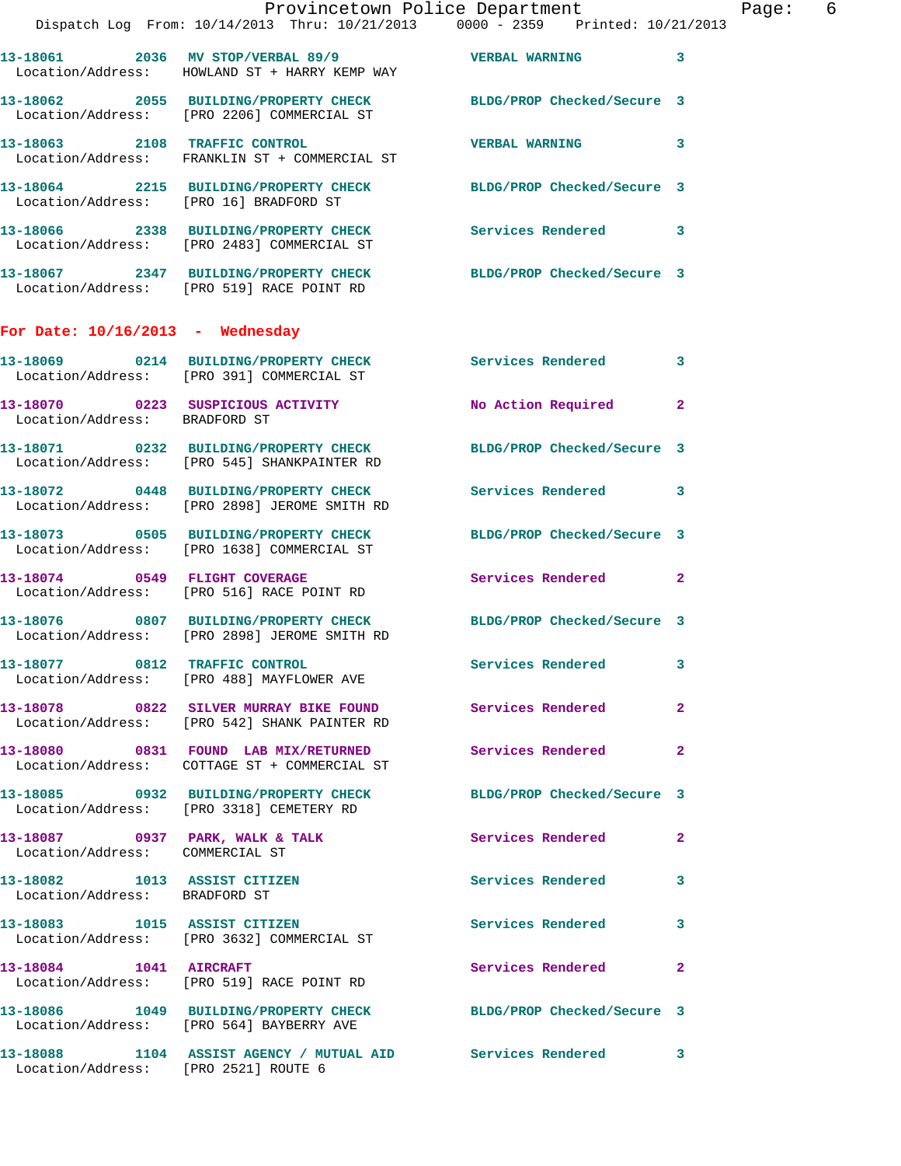|                                                               | Dispatch Log From: 10/14/2013 Thru: 10/21/2013 0000 - 2359 Printed: 10/21/2013                                   | Provincetown Police Department Page: 6 |              |  |
|---------------------------------------------------------------|------------------------------------------------------------------------------------------------------------------|----------------------------------------|--------------|--|
|                                                               | 13-18061 2036 MV STOP/VERBAL 89/9 VERBAL WARNING 3<br>Location/Address: HOWLAND ST + HARRY KEMP WAY              |                                        |              |  |
|                                                               | 13-18062 2055 BUILDING/PROPERTY CHECK BLDG/PROP Checked/Secure 3<br>Location/Address: [PRO 2206] COMMERCIAL ST   |                                        |              |  |
|                                                               | 13-18063 2108 TRAFFIC CONTROL<br>Location/Address: FRANKLIN ST + COMMERCIAL ST                                   | <b>VERBAL WARNING</b>                  | $\mathbf{3}$ |  |
|                                                               | 13-18064 2215 BUILDING/PROPERTY CHECK BLDG/PROP Checked/Secure 3<br>Location/Address: [PRO 16] BRADFORD ST       |                                        |              |  |
|                                                               | 13-18066 2338 BUILDING/PROPERTY CHECK Services Rendered 3<br>Location/Address: [PRO 2483] COMMERCIAL ST          |                                        |              |  |
|                                                               | 13-18067 2347 BUILDING/PROPERTY CHECK BLDG/PROP Checked/Secure 3<br>Location/Address: [PRO 519] RACE POINT RD    |                                        |              |  |
| For Date: $10/16/2013$ - Wednesday                            |                                                                                                                  |                                        |              |  |
|                                                               | 13-18069 0214 BUILDING/PROPERTY CHECK Services Rendered 3<br>Location/Address: [PRO 391] COMMERCIAL ST           |                                        |              |  |
| Location/Address: BRADFORD ST                                 | 13-18070 0223 SUSPICIOUS ACTIVITY No Action Required                                                             |                                        | $\mathbf{2}$ |  |
|                                                               | 13-18071 0232 BUILDING/PROPERTY CHECK BLDG/PROP Checked/Secure 3<br>Location/Address: [PRO 545] SHANKPAINTER RD  |                                        |              |  |
|                                                               | 13-18072 0448 BUILDING/PROPERTY CHECK Services Rendered 3<br>Location/Address: [PRO 2898] JEROME SMITH RD        |                                        |              |  |
|                                                               | 13-18073 0505 BUILDING/PROPERTY CHECK BLDG/PROP Checked/Secure 3<br>Location/Address: [PRO 1638] COMMERCIAL ST   |                                        |              |  |
|                                                               | 13-18074 0549 FLIGHT COVERAGE<br>Location/Address: [PRO 516] RACE POINT RD                                       | Services Rendered 2                    |              |  |
|                                                               | 13-18076 0807 BUILDING/PROPERTY CHECK BLDG/PROP Checked/Secure 3<br>Location/Address: [PRO 2898] JEROME SMITH RD |                                        |              |  |
|                                                               | 13-18077 0812 TRAFFIC CONTROL<br>Location/Address: [PRO 488] MAYFLOWER AVE                                       | Services Rendered 3                    |              |  |
|                                                               | 13-18078 0822 SILVER MURRAY BIKE FOUND Services Rendered 2<br>Location/Address: [PRO 542] SHANK PAINTER RD       |                                        |              |  |
|                                                               | 13-18080 0831 FOUND LAB MIX/RETURNED Services Rendered 2<br>Location/Address: COTTAGE ST + COMMERCIAL ST         |                                        |              |  |
|                                                               | 13-18085 0932 BUILDING/PROPERTY CHECK BLDG/PROP Checked/Secure 3<br>Location/Address: [PRO 3318] CEMETERY RD     |                                        |              |  |
| Location/Address: COMMERCIAL ST                               | 13-18087 0937 PARK, WALK & TALK 1993 2 Services Rendered 2                                                       |                                        |              |  |
| 13-18082 1013 ASSIST CITIZEN<br>Location/Address: BRADFORD ST |                                                                                                                  | Services Rendered 3                    |              |  |
|                                                               | 13-18083 1015 ASSIST CITIZEN<br>Location/Address: [PRO 3632] COMMERCIAL ST                                       | Services Rendered 3                    |              |  |
|                                                               | 13-18084    1041    AIRCRAFT<br>Location/Address: [PRO 519] RACE POINT RD                                        | Services Rendered 2                    |              |  |
|                                                               | 13-18086 1049 BUILDING/PROPERTY CHECK BLDG/PROP Checked/Secure 3<br>Location/Address: [PRO 564] BAYBERRY AVE     |                                        |              |  |
|                                                               | 13-18088 1104 ASSIST AGENCY / MUTUAL AID Services Rendered 3<br>Location/Address: [PRO 2521] ROUTE 6             |                                        |              |  |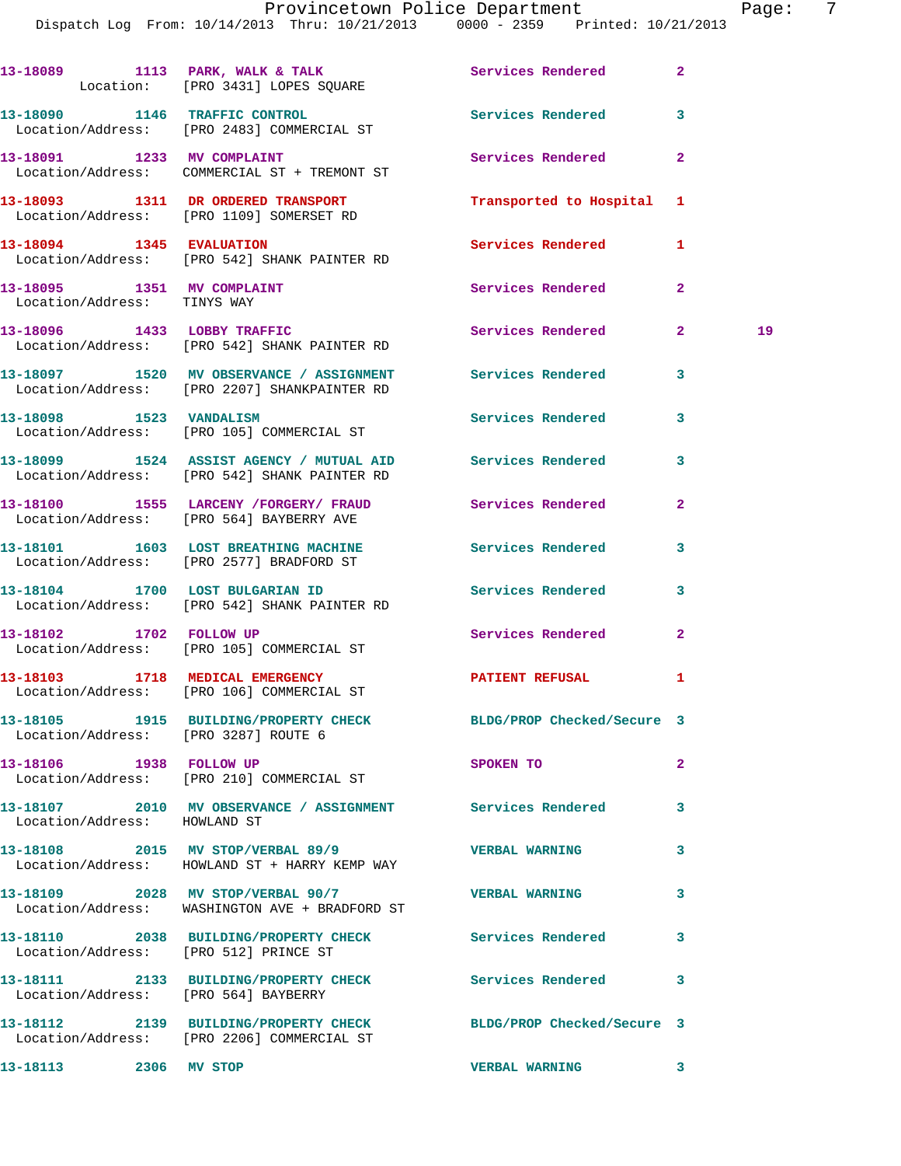|                                                           | Dispatch Log From: 10/14/2013 Thru: 10/21/2013 0000 - 2359 Printed: 10/21/2013                                     |                          |                    |
|-----------------------------------------------------------|--------------------------------------------------------------------------------------------------------------------|--------------------------|--------------------|
|                                                           | 13-18089 1113 PARK, WALK & TALK<br>Location: [PRO 3431] LOPES SQUARE                                               | Services Rendered        | $\overline{2}$     |
|                                                           | 13-18090 1146 TRAFFIC CONTROL<br>Location/Address: [PRO 2483] COMMERCIAL ST                                        | <b>Services Rendered</b> | 3                  |
| 13-18091 1233 MV COMPLAINT                                | Location/Address: COMMERCIAL ST + TREMONT ST                                                                       | Services Rendered        | $\overline{2}$     |
|                                                           | 13-18093 1311 DR ORDERED TRANSPORT TRANSPORT Transported to Hospital 1<br>Location/Address: [PRO 1109] SOMERSET RD |                          |                    |
| 13-18094 1345 EVALUATION                                  | Location/Address: [PRO 542] SHANK PAINTER RD                                                                       | <b>Services Rendered</b> | 1                  |
| 13-18095 1351 MV COMPLAINT<br>Location/Address: TINYS WAY |                                                                                                                    | Services Rendered        | $\mathbf{2}$       |
|                                                           | 13-18096 1433 LOBBY TRAFFIC<br>Location/Address: [PRO 542] SHANK PAINTER RD                                        | Services Rendered        | $\mathbf{2}$<br>19 |
|                                                           | 13-18097   1520 MV OBSERVANCE / ASSIGNMENT   Services Rendered<br>Location/Address: [PRO 2207] SHANKPAINTER RD     |                          | $\mathbf{3}$       |
| 13-18098 1523 VANDALISM                                   | Location/Address: [PRO 105] COMMERCIAL ST                                                                          | Services Rendered        | 3                  |
|                                                           | 13-18099 1524 ASSIST AGENCY / MUTUAL AID Services Rendered<br>Location/Address: [PRO 542] SHANK PAINTER RD         |                          | 3                  |
|                                                           | 13-18100 1555 LARCENY / FORGERY / FRAUD Services Rendered<br>Location/Address: [PRO 564] BAYBERRY AVE              |                          | $\mathbf{2}$       |
|                                                           | 13-18101 1603 LOST BREATHING MACHINE<br>Location/Address: [PRO 2577] BRADFORD ST                                   | Services Rendered        | 3                  |
|                                                           | 13-18104 1700 LOST BULGARIAN ID<br>Location/Address: [PRO 542] SHANK PAINTER RD                                    | Services Rendered        | 3                  |
| 13-18102 1702 FOLLOW UP                                   | Location/Address: [PRO 105] COMMERCIAL ST                                                                          | Services Rendered 2      |                    |
|                                                           | Location/Address: [PRO 106] COMMERCIAL ST                                                                          |                          |                    |
| Location/Address: [PRO 3287] ROUTE 6                      | 13-18105 1915 BUILDING/PROPERTY CHECK BLDG/PROP Checked/Secure 3                                                   |                          |                    |
| 13-18106 1938 FOLLOW UP                                   | Location/Address: [PRO 210] COMMERCIAL ST                                                                          | SPOKEN TO                | $\mathbf{2}$       |
|                                                           | 13-18107  2010 MV OBSERVANCE / ASSIGNMENT Services Rendered<br>Location/Address: HOWLAND ST                        |                          | 3                  |
|                                                           | 13-18108 2015 MV STOP/VERBAL 89/9<br>Location/Address: HOWLAND ST + HARRY KEMP WAY                                 | <b>VERBAL WARNING</b>    | 3                  |
|                                                           | 13-18109 2028 MV STOP/VERBAL 90/7<br>Location/Address: WASHINGTON AVE + BRADFORD ST                                | <b>VERBAL WARNING</b>    | 3                  |
| Location/Address: [PRO 512] PRINCE ST                     | 13-18110 2038 BUILDING/PROPERTY CHECK Services Rendered                                                            |                          | 3                  |
| Location/Address: [PRO 564] BAYBERRY                      | 13-18111 2133 BUILDING/PROPERTY CHECK Services Rendered                                                            |                          | 3                  |
|                                                           | 13-18112 2139 BUILDING/PROPERTY CHECK BLDG/PROP Checked/Secure 3<br>Location/Address: [PRO 2206] COMMERCIAL ST     |                          |                    |
| 13-18113 2306 MV STOP                                     |                                                                                                                    | VERBAL WARNING 3         |                    |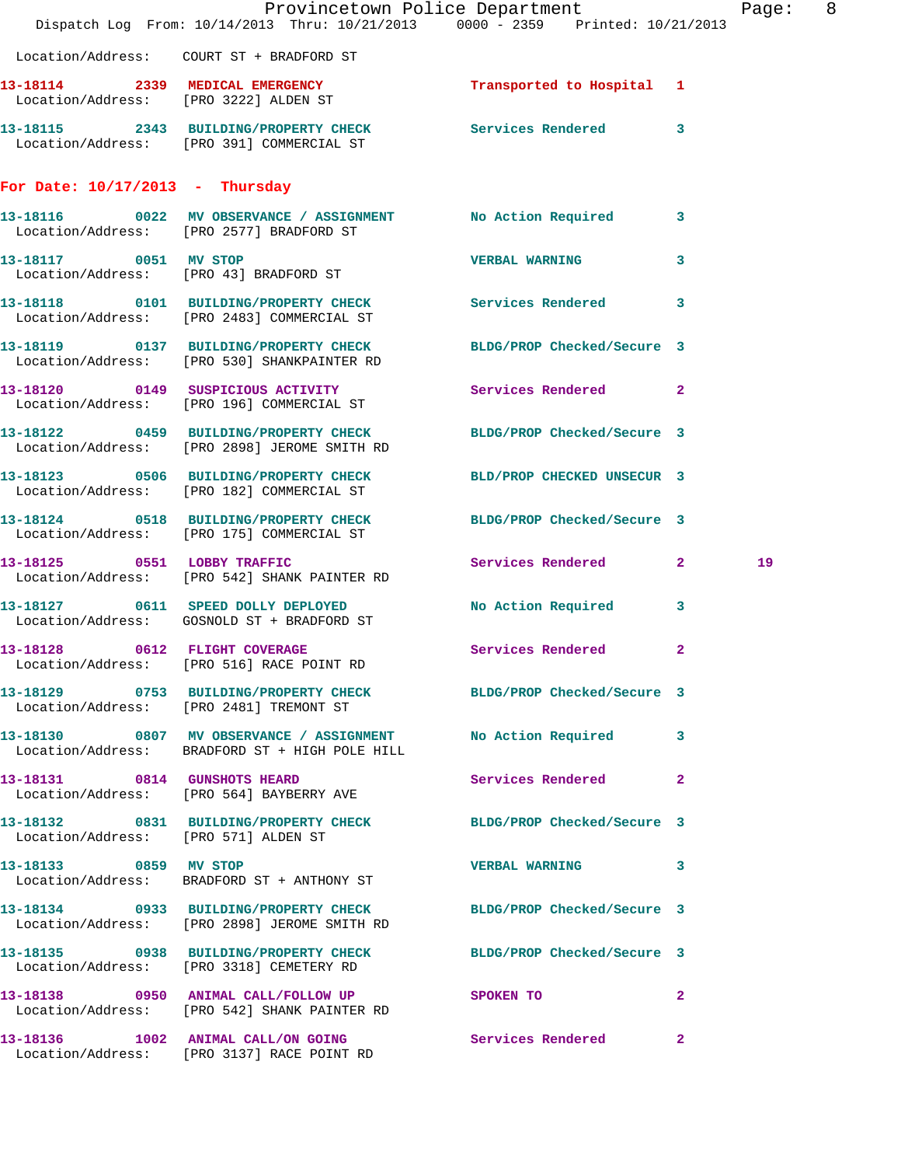|                                      | Dispatch Log From: 10/14/2013 Thru: 10/21/2013 0000 - 2359 Printed: 10/21/2013                                   | Provincetown Police Department | Page: 8      |
|--------------------------------------|------------------------------------------------------------------------------------------------------------------|--------------------------------|--------------|
|                                      | Location/Address: COURT ST + BRADFORD ST                                                                         |                                |              |
|                                      | 13-18114 2339 MEDICAL EMERGENCY Transported to Hospital 1<br>Location/Address: [PRO 3222] ALDEN ST               |                                |              |
|                                      | 13-18115 2343 BUILDING/PROPERTY CHECK Services Rendered 3<br>Location/Address: [PRO 391] COMMERCIAL ST           |                                |              |
| For Date: $10/17/2013$ - Thursday    |                                                                                                                  |                                |              |
|                                      | 13-18116 0022 MV OBSERVANCE / ASSIGNMENT No Action Required 3<br>Location/Address: [PRO 2577] BRADFORD ST        |                                |              |
| 13-18117 0051 MV STOP                | Location/Address: [PRO 43] BRADFORD ST                                                                           | VERBAL WARNING 3               |              |
|                                      | 13-18118   0101 BUILDING/PROPERTY CHECK   Services Rendered   3<br>Location/Address: [PRO 2483] COMMERCIAL ST    |                                |              |
|                                      | 13-18119 0137 BUILDING/PROPERTY CHECK BLDG/PROP Checked/Secure 3<br>Location/Address: [PRO 530] SHANKPAINTER RD  |                                |              |
|                                      | 13-18120 0149 SUSPICIOUS ACTIVITY<br>Location/Address: [PRO 196] COMMERCIAL ST                                   | <b>Services Rendered</b> 2     |              |
|                                      | 13-18122 0459 BUILDING/PROPERTY CHECK BLDG/PROP Checked/Secure 3<br>Location/Address: [PRO 2898] JEROME SMITH RD |                                |              |
|                                      | 13-18123 0506 BUILDING/PROPERTY CHECK BLD/PROP CHECKED UNSECUR 3<br>Location/Address: [PRO 182] COMMERCIAL ST    |                                |              |
|                                      | 13-18124 0518 BUILDING/PROPERTY CHECK BLDG/PROP Checked/Secure 3<br>Location/Address: [PRO 175] COMMERCIAL ST    |                                |              |
| 13-18125 0551 LOBBY TRAFFIC          | Location/Address: [PRO 542] SHANK PAINTER RD                                                                     | Services Rendered 2            | 19           |
|                                      | 13-18127 0611 SPEED DOLLY DEPLOYED<br>Location/Address: GOSNOLD ST + BRADFORD ST                                 | No Action Required 3           |              |
| 13-18128 0612 FLIGHT COVERAGE        | Location/Address: [PRO 516] RACE POINT RD                                                                        | Services Rendered 2            |              |
|                                      | 13-18129 0753 BUILDING/PROPERTY CHECK BLDG/PROP Checked/Secure 3<br>Location/Address: [PRO 2481] TREMONT ST      |                                |              |
|                                      | 13-18130 0807 MV OBSERVANCE / ASSIGNMENT No Action Required 3<br>Location/Address: BRADFORD ST + HIGH POLE HILL  |                                |              |
|                                      | 13-18131 0814 GUNSHOTS HEARD<br>Location/Address: [PRO 564] BAYBERRY AVE                                         | Services Rendered 2            |              |
| Location/Address: [PRO 571] ALDEN ST | 13-18132 0831 BUILDING/PROPERTY CHECK BLDG/PROP Checked/Secure 3                                                 |                                |              |
| 13-18133 0859 MV STOP                | Location/Address: BRADFORD ST + ANTHONY ST                                                                       | <b>VERBAL WARNING</b>          | 3            |
|                                      | 13-18134 0933 BUILDING/PROPERTY CHECK BLDG/PROP Checked/Secure 3<br>Location/Address: [PRO 2898] JEROME SMITH RD |                                |              |
|                                      | 13-18135 0938 BUILDING/PROPERTY CHECK BLDG/PROP Checked/Secure 3<br>Location/Address: [PRO 3318] CEMETERY RD     |                                |              |
|                                      | 13-18138 0950 ANIMAL CALL/FOLLOW UP SPOKEN TO<br>Location/Address: [PRO 542] SHANK PAINTER RD                    |                                | $\mathbf{2}$ |
|                                      | 13-18136 1002 ANIMAL CALL/ON GOING Services Rendered<br>Location/Address: [PRO 3137] RACE POINT RD               |                                | $\mathbf{2}$ |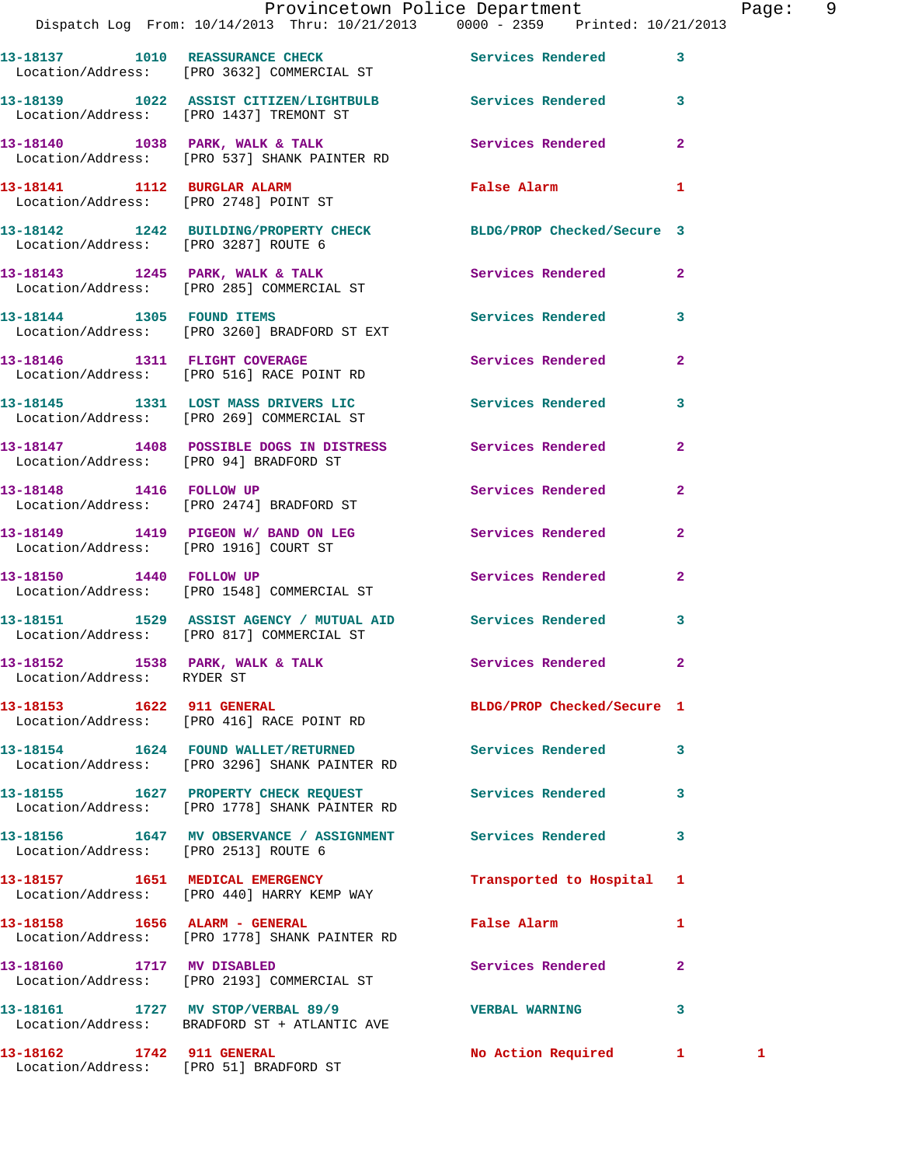|                                                               | Provincetown Police Department<br>Dispatch Log From: 10/14/2013 Thru: 10/21/2013 0000 - 2359 Printed: 10/21/2013 |                                        | Pag            |
|---------------------------------------------------------------|------------------------------------------------------------------------------------------------------------------|----------------------------------------|----------------|
|                                                               | 13-18137 1010 REASSURANCE CHECK 1999 Services Rendered<br>Location/Address: [PRO 3632] COMMERCIAL ST             |                                        | $\mathbf{3}$   |
|                                                               | 13-18139 1022 ASSIST CITIZEN/LIGHTBULB Services Rendered<br>Location/Address: [PRO 1437] TREMONT ST              |                                        | 3              |
|                                                               | 13-18140 1038 PARK, WALK & TALK 1988 Services Rendered<br>Location/Address: [PRO 537] SHANK PAINTER RD           |                                        | $\overline{2}$ |
|                                                               | 13-18141 1112 BURGLAR ALARM<br>Location/Address: [PRO 2748] POINT ST                                             | False Alarm <b>Francisco Executive</b> | 1              |
| Location/Address: [PRO 3287] ROUTE 6                          | 13-18142 1242 BUILDING/PROPERTY CHECK BLDG/PROP Checked/Secure 3                                                 |                                        |                |
|                                                               |                                                                                                                  |                                        | $\mathbf{2}$   |
|                                                               | 13-18144 1305 FOUND ITEMS<br>Location/Address: [PRO 3260] BRADFORD ST EXT                                        | Services Rendered                      | 3              |
|                                                               | 13-18146 1311 FLIGHT COVERAGE<br>Location/Address: [PRO 516] RACE POINT RD                                       | Services Rendered                      | $\overline{a}$ |
|                                                               | 13-18145 1331 LOST MASS DRIVERS LIC Services Rendered<br>Location/Address: [PRO 269] COMMERCIAL ST               |                                        | 3              |
|                                                               | 13-18147 1408 POSSIBLE DOGS IN DISTRESS Services Rendered<br>Location/Address: [PRO 94] BRADFORD ST              |                                        | $\overline{2}$ |
|                                                               | 13-18148 1416 FOLLOW UP<br>Location/Address: [PRO 2474] BRADFORD ST                                              | Services Rendered                      | $\overline{2}$ |
| Location/Address: [PRO 1916] COURT ST                         | 13-18149 1419 PIGEON W/BAND ON LEG Services Rendered                                                             |                                        | $\overline{a}$ |
| 13-18150 1440 FOLLOW UP                                       | Location/Address: [PRO 1548] COMMERCIAL ST                                                                       | Services Rendered                      | $\overline{2}$ |
|                                                               | 13-18151 1529 ASSIST AGENCY / MUTUAL AID Services Rendered<br>Location/Address: [PRO 817] COMMERCIAL ST          |                                        | 3              |
| 13-18152 1538 PARK, WALK & TALK<br>Location/Address: RYDER ST |                                                                                                                  | Services Rendered 2                    |                |
|                                                               | 13-18153 1622 911 GENERAL BLDG/PROP Checked/Secure 1<br>Location/Address: [PRO 416] RACE POINT RD                |                                        |                |
|                                                               | 13-18154 1624 FOUND WALLET/RETURNED Services Rendered<br>Location/Address: [PRO 3296] SHANK PAINTER RD           |                                        | 3              |
|                                                               | 13-18155 1627 PROPERTY CHECK REQUEST<br>Location/Address: [PRO 1778] SHANK PAINTER RD                            | Services Rendered                      | 3              |
| Location/Address: [PRO 2513] ROUTE 6                          | 13-18156 1647 MV OBSERVANCE / ASSIGNMENT Services Rendered                                                       |                                        | 3              |
|                                                               | 13-18157 1651 MEDICAL EMERGENCY<br>Location/Address: [PRO 440] HARRY KEMP WAY                                    | Transported to Hospital                | 1              |
|                                                               | 13-18158    1656    ALARM - GENERAL<br>Location/Address: [PRO 1778] SHANK PAINTER RD                             | False Alarm                            | 1              |
| 13-18160 1717 MV DISABLED                                     | Location/Address: [PRO 2193] COMMERCIAL ST                                                                       | Services Rendered                      | $\overline{a}$ |
|                                                               | 13-18161 1727 MV STOP/VERBAL 89/9<br>Location/Address: BRADFORD ST + ATLANTIC AVE                                | <b>VERBAL WARNING</b>                  | 3              |
| 13-18162 1742 911 GENERAL                                     |                                                                                                                  | No Action Required 1 1 1               |                |

Location/Address: [PRO 51] BRADFORD ST

Page: 9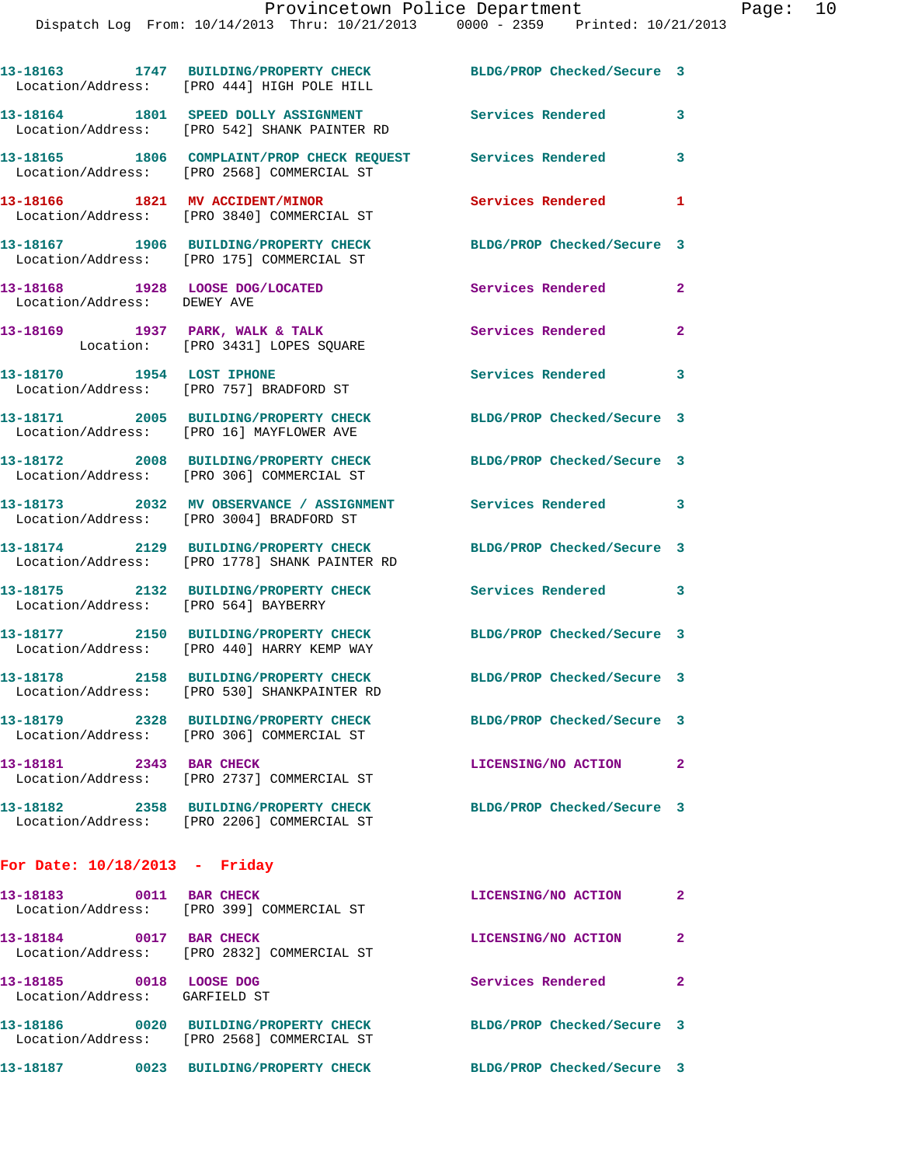|                                                                | 13-18163 1747 BUILDING/PROPERTY CHECK BLDG/PROP Checked/Secure 3<br>Location/Address: [PRO 444] HIGH POLE HILL |                            |                |
|----------------------------------------------------------------|----------------------------------------------------------------------------------------------------------------|----------------------------|----------------|
|                                                                | 13-18164 1801 SPEED DOLLY ASSIGNMENT<br>Location/Address: [PRO 542] SHANK PAINTER RD                           | Services Rendered          | 3              |
|                                                                | 13-18165 1806 COMPLAINT/PROP CHECK REQUEST Services Rendered<br>Location/Address: [PRO 2568] COMMERCIAL ST     |                            | 3              |
|                                                                | 13-18166 1821 MV ACCIDENT/MINOR<br>Location/Address: [PRO 3840] COMMERCIAL ST                                  | Services Rendered          | $\mathbf{1}$   |
|                                                                | 13-18167 1906 BUILDING/PROPERTY CHECK<br>Location/Address: [PRO 175] COMMERCIAL ST                             | BLDG/PROP Checked/Secure 3 |                |
| 13-18168 1928 LOOSE DOG/LOCATED<br>Location/Address: DEWEY AVE |                                                                                                                | Services Rendered          | $\overline{2}$ |
|                                                                | 13-18169 1937 PARK, WALK & TALK<br>Location: [PRO 3431] LOPES SQUARE                                           | Services Rendered          | $\overline{2}$ |
| 13-18170 1954 LOST IPHONE                                      | Location/Address: [PRO 757] BRADFORD ST                                                                        | Services Rendered 3        |                |
|                                                                | 13-18171 2005 BUILDING/PROPERTY CHECK<br>Location/Address: [PRO 16] MAYFLOWER AVE                              | BLDG/PROP Checked/Secure 3 |                |
|                                                                | 13-18172 2008 BUILDING/PROPERTY CHECK<br>Location/Address: [PRO 306] COMMERCIAL ST                             | BLDG/PROP Checked/Secure 3 |                |
|                                                                | 13-18173 2032 MV OBSERVANCE / ASSIGNMENT Services Rendered 3<br>Location/Address: [PRO 3004] BRADFORD ST       |                            |                |
|                                                                | 13-18174 2129 BUILDING/PROPERTY CHECK<br>Location/Address: [PRO 1778] SHANK PAINTER RD                         | BLDG/PROP Checked/Secure 3 |                |
| Location/Address: [PRO 564] BAYBERRY                           | 13-18175 2132 BUILDING/PROPERTY CHECK                                                                          | Services Rendered 3        |                |
|                                                                | 13-18177 2150 BUILDING/PROPERTY CHECK<br>Location/Address: [PRO 440] HARRY KEMP WAY                            | BLDG/PROP Checked/Secure 3 |                |
|                                                                | 13-18178 2158 BUILDING/PROPERTY CHECK<br>Location/Address: [PRO 530] SHANKPAINTER RD                           | BLDG/PROP Checked/Secure 3 |                |
|                                                                | 13-18179 2328 BUILDING/PROPERTY CHECK<br>Location/Address: [PRO 306] COMMERCIAL ST                             | BLDG/PROP Checked/Secure 3 |                |
| 13-18181 2343 BAR CHECK                                        | Location/Address: [PRO 2737] COMMERCIAL ST                                                                     | LICENSING/NO ACTION        | $\mathbf{2}$   |
|                                                                | 13-18182 2358 BUILDING/PROPERTY CHECK<br>Location/Address: [PRO 2206] COMMERCIAL ST                            | BLDG/PROP Checked/Secure 3 |                |
| For Date: $10/18/2013$ - Friday                                |                                                                                                                |                            |                |
| 13-18183 0011 BAR CHECK                                        | Location/Address: [PRO 399] COMMERCIAL ST                                                                      | LICENSING/NO ACTION        | $\mathbf{2}$   |
| 13-18184 0017 BAR CHECK                                        | Location/Address: [PRO 2832] COMMERCIAL ST                                                                     | LICENSING/NO ACTION        | $\mathbf{2}$   |
| 13-18185 0018 LOOSE DOG<br>Location/Address: GARFIELD ST       |                                                                                                                | Services Rendered          | $\mathbf{2}$   |
|                                                                | 13-18186 0020 BUILDING/PROPERTY CHECK<br>Location/Address: [PRO 2568] COMMERCIAL ST                            | BLDG/PROP Checked/Secure 3 |                |

**13-18187 0023 BUILDING/PROPERTY CHECK BLDG/PROP Checked/Secure 3**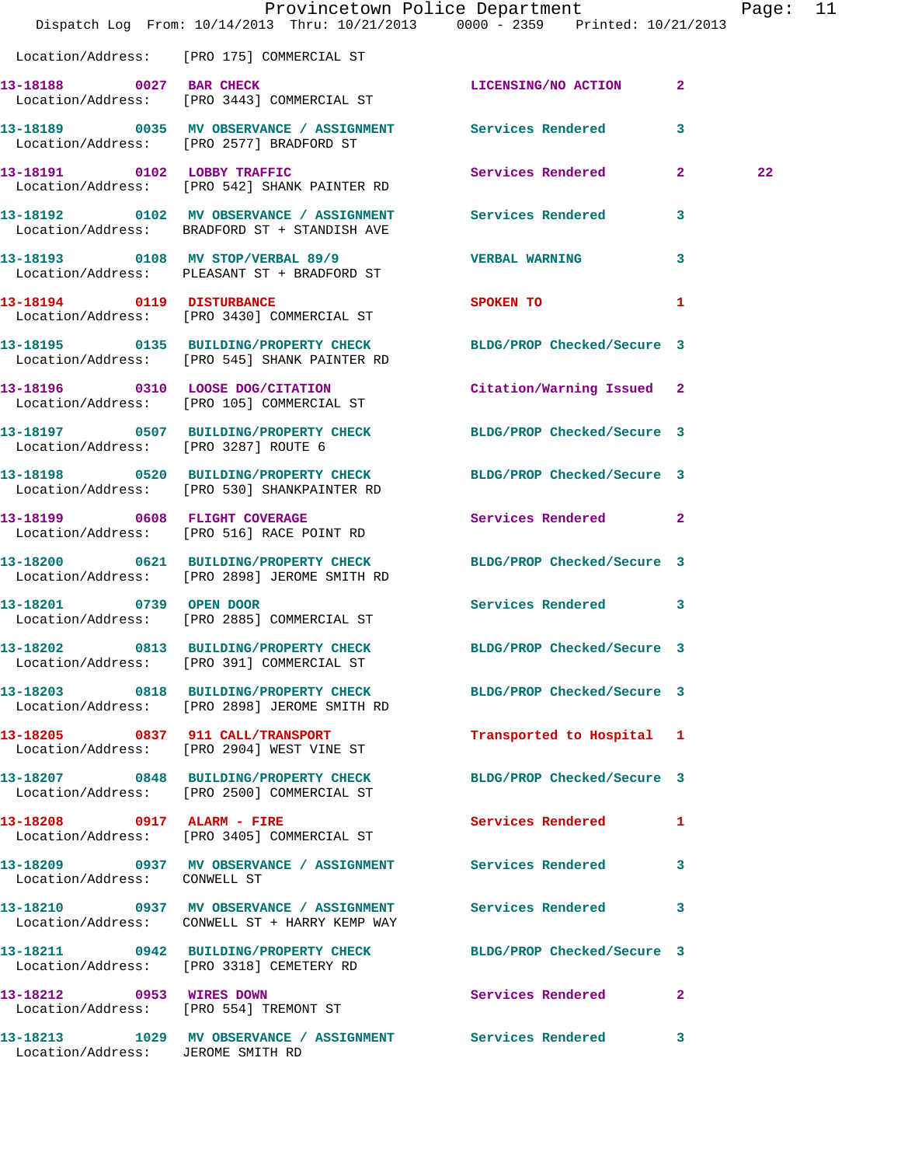|                                      | Dispatch Log From: 10/14/2013 Thru: 10/21/2013 0000 - 2359 Printed: 10/21/2013                                   | Provincetown Police Department |              | Page: 11 |  |
|--------------------------------------|------------------------------------------------------------------------------------------------------------------|--------------------------------|--------------|----------|--|
|                                      | Location/Address: [PRO 175] COMMERCIAL ST                                                                        |                                |              |          |  |
| 13-18188 0027 BAR CHECK              | Location/Address: [PRO 3443] COMMERCIAL ST                                                                       | LICENSING/NO ACTION            | $\mathbf{2}$ |          |  |
|                                      | 13-18189 6035 MV OBSERVANCE / ASSIGNMENT Services Rendered<br>Location/Address: [PRO 2577] BRADFORD ST           |                                | $\mathbf{3}$ |          |  |
|                                      | 13-18191 0102 LOBBY TRAFFIC<br>Location/Address: [PRO 542] SHANK PAINTER RD                                      | Services Rendered 2            |              | 22       |  |
|                                      | 13-18192 0102 MV OBSERVANCE / ASSIGNMENT Services Rendered<br>Location/Address: BRADFORD ST + STANDISH AVE       |                                | 3            |          |  |
|                                      | 13-18193 0108 MV STOP/VERBAL 89/9<br>Location/Address: PLEASANT ST + BRADFORD ST                                 | <b>VERBAL WARNING</b>          | 3            |          |  |
|                                      | 13-18194 0119 DISTURBANCE<br>Location/Address: [PRO 3430] COMMERCIAL ST                                          | SPOKEN TO                      | 1            |          |  |
|                                      | 13-18195 0135 BUILDING/PROPERTY CHECK<br>Location/Address: [PRO 545] SHANK PAINTER RD                            | BLDG/PROP Checked/Secure 3     |              |          |  |
|                                      | 13-18196 0310 LOOSE DOG/CITATION<br>Location/Address: [PRO 105] COMMERCIAL ST                                    | Citation/Warning Issued 2      |              |          |  |
| Location/Address: [PRO 3287] ROUTE 6 | 13-18197 0507 BUILDING/PROPERTY CHECK                                                                            | BLDG/PROP Checked/Secure 3     |              |          |  |
|                                      | 13-18198 0520 BUILDING/PROPERTY CHECK<br>Location/Address: [PRO 530] SHANKPAINTER RD                             | BLDG/PROP Checked/Secure 3     |              |          |  |
|                                      | 13-18199 0608 FLIGHT COVERAGE<br>Location/Address: [PRO 516] RACE POINT RD                                       | Services Rendered 2            |              |          |  |
|                                      | 13-18200 0621 BUILDING/PROPERTY CHECK<br>Location/Address: [PRO 2898] JEROME SMITH RD                            | BLDG/PROP Checked/Secure 3     |              |          |  |
| 13-18201 0739 OPEN DOOR              | Location/Address: [PRO 2885] COMMERCIAL ST                                                                       | Services Rendered 3            |              |          |  |
|                                      | 13-18202 0813 BUILDING/PROPERTY CHECK BLDG/PROP Checked/Secure 3<br>Location/Address: [PRO 391] COMMERCIAL ST    |                                |              |          |  |
|                                      | 13-18203 0818 BUILDING/PROPERTY CHECK BLDG/PROP Checked/Secure 3<br>Location/Address: [PRO 2898] JEROME SMITH RD |                                |              |          |  |
|                                      | 13-18205 0837 911 CALL/TRANSPORT<br>Location/Address: [PRO 2904] WEST VINE ST                                    | Transported to Hospital 1      |              |          |  |
|                                      | 13-18207 0848 BUILDING/PROPERTY CHECK<br>Location/Address: [PRO 2500] COMMERCIAL ST                              | BLDG/PROP Checked/Secure 3     |              |          |  |
|                                      | 13-18208 0917 ALARM - FIRE<br>Location/Address: [PRO 3405] COMMERCIAL ST                                         | Services Rendered              | ı            |          |  |
| Location/Address: CONWELL ST         | 13-18209 0937 MV OBSERVANCE / ASSIGNMENT Services Rendered                                                       |                                | 3            |          |  |
|                                      | 13-18210 0937 MV OBSERVANCE / ASSIGNMENT Services Rendered<br>Location/Address: CONWELL ST + HARRY KEMP WAY      |                                | 3            |          |  |
|                                      | 13-18211 0942 BUILDING/PROPERTY CHECK<br>Location/Address: [PRO 3318] CEMETERY RD                                | BLDG/PROP Checked/Secure 3     |              |          |  |
|                                      | 13-18212 0953 WIRES DOWN<br>Location/Address: [PRO 554] TREMONT ST                                               | Services Rendered 2            |              |          |  |
| Location/Address: JEROME SMITH RD    | 13-18213 1029 MV OBSERVANCE / ASSIGNMENT Services Rendered                                                       |                                | $\mathbf{3}$ |          |  |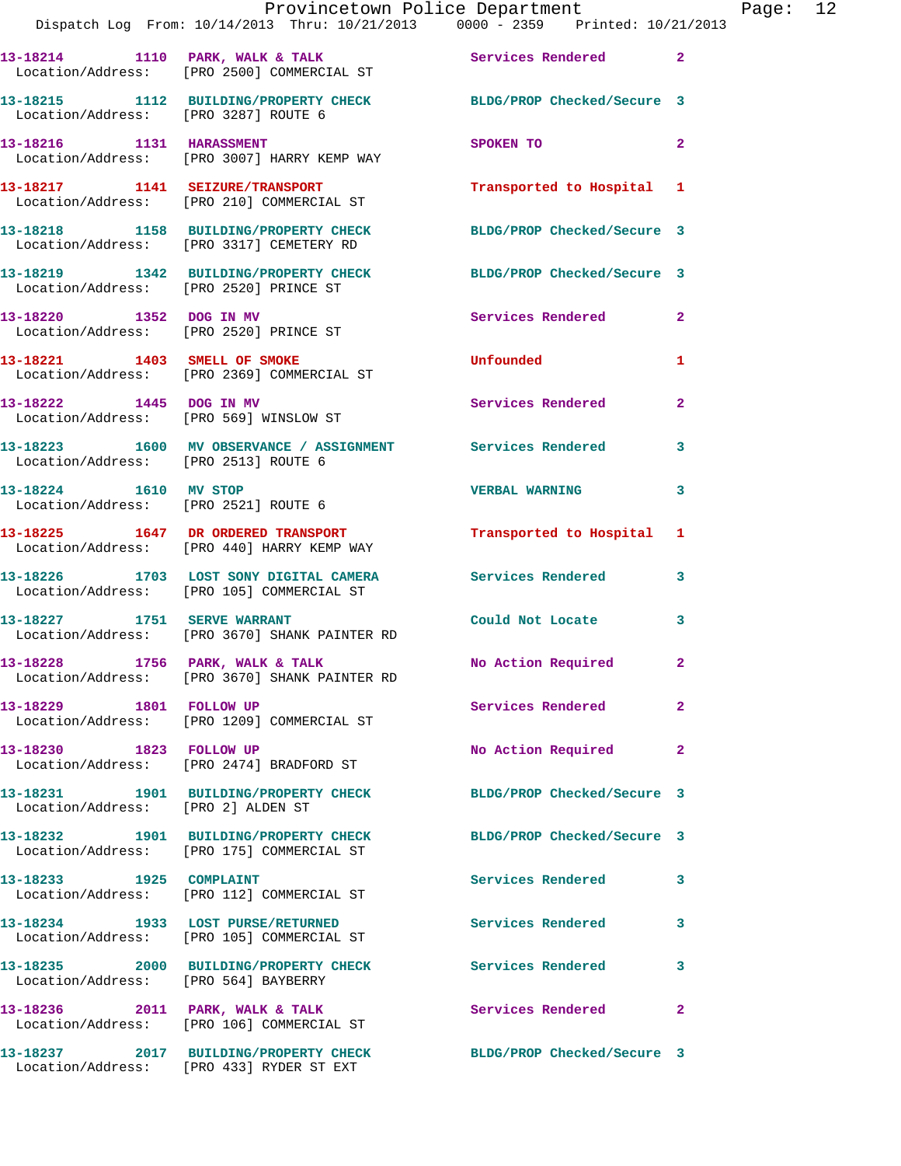|                                      | Dispatch Log From: 10/14/2013 Thru: 10/21/2013 0000 - 2359 Printed: 10/21/2013                                | Provincetown Police Department                                                                                                                                                                                                 |                | Page: 12 |  |
|--------------------------------------|---------------------------------------------------------------------------------------------------------------|--------------------------------------------------------------------------------------------------------------------------------------------------------------------------------------------------------------------------------|----------------|----------|--|
|                                      | 13-18214 1110 PARK, WALK & TALK 5 Services Rendered 2<br>Location/Address: [PRO 2500] COMMERCIAL ST           |                                                                                                                                                                                                                                |                |          |  |
| Location/Address: [PRO 3287] ROUTE 6 | 13-18215 1112 BUILDING/PROPERTY CHECK BLDG/PROP Checked/Secure 3                                              |                                                                                                                                                                                                                                |                |          |  |
|                                      | 13-18216 1131 HARASSMENT<br>Location/Address: [PRO 3007] HARRY KEMP WAY                                       | SPOKEN TO THE SPOKEN OF THE SPOKEN OF THE SPOKEN OF THE SPOKEN OF THE SPOKEN OF THE SPOKEN OF THE SPOKEN OF THE SPOKEN OF THE SPOKEN OF THE SPOKEN OF THE SPOKEN OF THE SPOKEN OF THE SPOKEN OF THE SPOKEN OF THE SPOKEN OF TH | $\mathbf{2}$   |          |  |
|                                      | 13-18217 1141 SEIZURE/TRANSPORT Transported to Hospital 1<br>Location/Address: [PRO 210] COMMERCIAL ST        |                                                                                                                                                                                                                                |                |          |  |
|                                      | 13-18218 1158 BUILDING/PROPERTY CHECK BLDG/PROP Checked/Secure 3<br>Location/Address: [PRO 3317] CEMETERY RD  |                                                                                                                                                                                                                                |                |          |  |
|                                      | 13-18219 1342 BUILDING/PROPERTY CHECK BLDG/PROP Checked/Secure 3<br>Location/Address: [PRO 2520] PRINCE ST    |                                                                                                                                                                                                                                |                |          |  |
|                                      | 13-18220 1352 DOG IN MV<br>Location/Address: [PRO 2520] PRINCE ST                                             | Services Rendered 2                                                                                                                                                                                                            |                |          |  |
|                                      | 13-18221 1403 SMELL OF SMOKE<br>Location/Address: [PRO 2369] COMMERCIAL ST                                    | Unfounded                                                                                                                                                                                                                      | 1              |          |  |
|                                      | 13-18222 1445 DOG IN MV<br>Location/Address: [PRO 569] WINSLOW ST                                             | Services Rendered 2                                                                                                                                                                                                            |                |          |  |
| Location/Address: [PRO 2513] ROUTE 6 | 13-18223 1600 MV OBSERVANCE / ASSIGNMENT Services Rendered                                                    |                                                                                                                                                                                                                                | 3              |          |  |
| 13-18224 1610 MV STOP                | Location/Address: [PRO 2521] ROUTE 6                                                                          | <b>VERBAL WARNING 3</b>                                                                                                                                                                                                        |                |          |  |
|                                      | 13-18225 1647 DR ORDERED TRANSPORT Transported to Hospital 1<br>Location/Address: [PRO 440] HARRY KEMP WAY    |                                                                                                                                                                                                                                |                |          |  |
|                                      | 13-18226 1703 LOST SONY DIGITAL CAMERA Services Rendered 3<br>Location/Address: [PRO 105] COMMERCIAL ST       |                                                                                                                                                                                                                                |                |          |  |
|                                      | 13-18227 1751 SERVE WARRANT<br>Location/Address: [PRO 3670] SHANK PAINTER RD                                  | Could Not Locate 3                                                                                                                                                                                                             |                |          |  |
|                                      | 13-18228 1756 PARK, WALK & TALK<br>Location/Address: [PRO 3670] SHANK PAINTER RD                              | No Action Required                                                                                                                                                                                                             |                |          |  |
| 13-18229 1801 FOLLOW UP              | Location/Address: [PRO 1209] COMMERCIAL ST                                                                    | Services Rendered                                                                                                                                                                                                              | $\overline{2}$ |          |  |
| 13-18230 1823 FOLLOW UP              | Location/Address: [PRO 2474] BRADFORD ST                                                                      | No Action Required                                                                                                                                                                                                             | $\mathbf{2}$   |          |  |
| Location/Address: [PRO 2] ALDEN ST   | 13-18231 1901 BUILDING/PROPERTY CHECK BLDG/PROP Checked/Secure 3                                              |                                                                                                                                                                                                                                |                |          |  |
|                                      | 13-18232 1901 BUILDING/PROPERTY CHECK BLDG/PROP Checked/Secure 3<br>Location/Address: [PRO 175] COMMERCIAL ST |                                                                                                                                                                                                                                |                |          |  |
|                                      | 13-18233 1925 COMPLAINT<br>Location/Address: [PRO 112] COMMERCIAL ST                                          | Services Rendered                                                                                                                                                                                                              | 3              |          |  |
|                                      | 13-18234 1933 LOST PURSE/RETURNED<br>Location/Address: [PRO 105] COMMERCIAL ST                                | Services Rendered                                                                                                                                                                                                              | 3              |          |  |
| Location/Address: [PRO 564] BAYBERRY | 13-18235 2000 BUILDING/PROPERTY CHECK Services Rendered                                                       |                                                                                                                                                                                                                                | 3              |          |  |
|                                      | 13-18236 2011 PARK, WALK & TALK<br>Location/Address: [PRO 106] COMMERCIAL ST                                  | Services Rendered                                                                                                                                                                                                              | $\mathbf{2}$   |          |  |
|                                      | 13-18237    2017 BUILDING/PROPERTY CHECK                                                                      | BLDG/PROP Checked/Secure 3                                                                                                                                                                                                     |                |          |  |

Location/Address: [PRO 433] RYDER ST EXT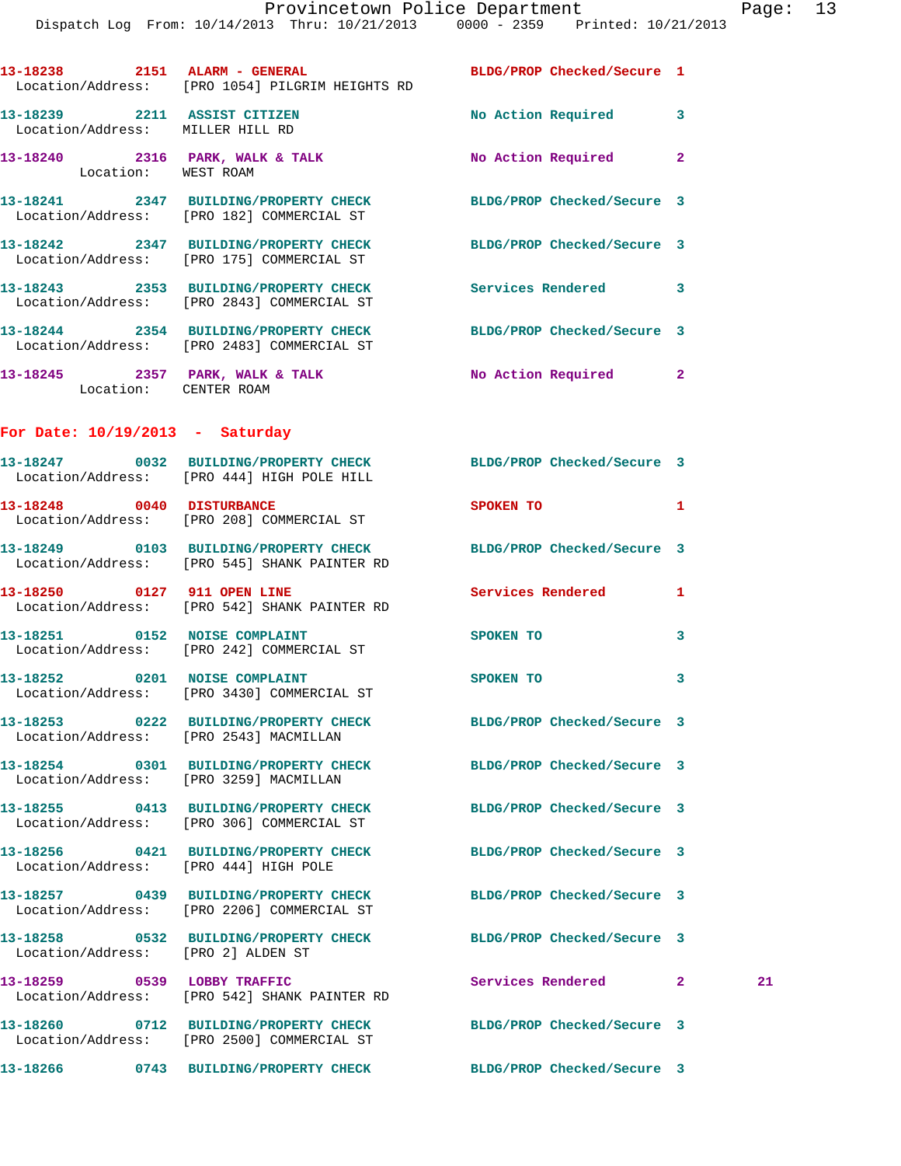|                                                                  | Dispatch Log From: 10/14/2013 Thru: 10/21/2013 0000 - 2359 Printed: 10/21/2013                                   |                            |              |    |
|------------------------------------------------------------------|------------------------------------------------------------------------------------------------------------------|----------------------------|--------------|----|
|                                                                  | 13-18238 2151 ALARM - GENERAL BLDG/PROP Checked/Secure 1<br>Location/Address: [PRO 1054] PILGRIM HEIGHTS RD      |                            |              |    |
| 13-18239 2211 ASSIST CITIZEN<br>Location/Address: MILLER HILL RD |                                                                                                                  | No Action Required 3       |              |    |
| Location: WEST ROAM                                              | 13-18240 2316 PARK, WALK & TALK                                                                                  | No Action Required         | $\mathbf{2}$ |    |
|                                                                  | 13-18241 2347 BUILDING/PROPERTY CHECK BLDG/PROP Checked/Secure 3<br>Location/Address: [PRO 182] COMMERCIAL ST    |                            |              |    |
|                                                                  | 13-18242 2347 BUILDING/PROPERTY CHECK BLDG/PROP Checked/Secure 3<br>Location/Address: [PRO 175] COMMERCIAL ST    |                            |              |    |
|                                                                  | 13-18243 2353 BUILDING/PROPERTY CHECK Services Rendered 3<br>Location/Address: [PRO 2843] COMMERCIAL ST          |                            |              |    |
|                                                                  | 13-18244 2354 BUILDING/PROPERTY CHECK<br>Location/Address: [PRO 2483] COMMERCIAL ST                              | BLDG/PROP Checked/Secure 3 |              |    |
| Location: CENTER ROAM                                            | 13-18245 2357 PARK, WALK & TALK NO Action Required 2                                                             |                            |              |    |
| For Date: $10/19/2013$ - Saturday                                |                                                                                                                  |                            |              |    |
|                                                                  | 13-18247 0032 BUILDING/PROPERTY CHECK BLDG/PROP Checked/Secure 3<br>Location/Address: [PRO 444] HIGH POLE HILL   |                            |              |    |
|                                                                  | 13-18248 0040 DISTURBANCE<br>Location/Address: [PRO 208] COMMERCIAL ST                                           | <b>SPOKEN TO</b>           | 1            |    |
|                                                                  | 13-18249 0103 BUILDING/PROPERTY CHECK BLDG/PROP Checked/Secure 3<br>Location/Address: [PRO 545] SHANK PAINTER RD |                            |              |    |
|                                                                  | 13-18250 0127 911 OPEN LINE<br>Location/Address: [PRO 542] SHANK PAINTER RD                                      | Services Rendered 1        |              |    |
|                                                                  | 13-18251 0152 NOISE COMPLAINT<br>Location/Address: [PRO 242] COMMERCIAL ST                                       | <b>SPOKEN TO</b>           | 3            |    |
|                                                                  | 13-18252 0201 NOISE COMPLAINT<br>Location/Address: [PRO 3430] COMMERCIAL ST                                      | SPOKEN TO                  |              |    |
| Location/Address: [PRO 2543] MACMILLAN                           | 13-18253 0222 BUILDING/PROPERTY CHECK BLDG/PROP Checked/Secure 3                                                 |                            |              |    |
| Location/Address: [PRO 3259] MACMILLAN                           | 13-18254 0301 BUILDING/PROPERTY CHECK                                                                            | BLDG/PROP Checked/Secure 3 |              |    |
|                                                                  | 13-18255 0413 BUILDING/PROPERTY CHECK<br>Location/Address: [PRO 306] COMMERCIAL ST                               | BLDG/PROP Checked/Secure 3 |              |    |
| Location/Address: [PRO 444] HIGH POLE                            | 13-18256 0421 BUILDING/PROPERTY CHECK                                                                            | BLDG/PROP Checked/Secure 3 |              |    |
|                                                                  | 13-18257 0439 BUILDING/PROPERTY CHECK<br>Location/Address: [PRO 2206] COMMERCIAL ST                              | BLDG/PROP Checked/Secure 3 |              |    |
| Location/Address: [PRO 2] ALDEN ST                               | 13-18258 0532 BUILDING/PROPERTY CHECK                                                                            | BLDG/PROP Checked/Secure 3 |              |    |
|                                                                  | 13-18259 0539 LOBBY TRAFFIC<br>Location/Address: [PRO 542] SHANK PAINTER RD                                      | Services Rendered 2        |              | 21 |
|                                                                  | 13-18260 0712 BUILDING/PROPERTY CHECK BLDG/PROP Checked/Secure 3<br>Location/Address: [PRO 2500] COMMERCIAL ST   |                            |              |    |
|                                                                  | 13-18266 0743 BUILDING/PROPERTY CHECK BLDG/PROP Checked/Secure 3                                                 |                            |              |    |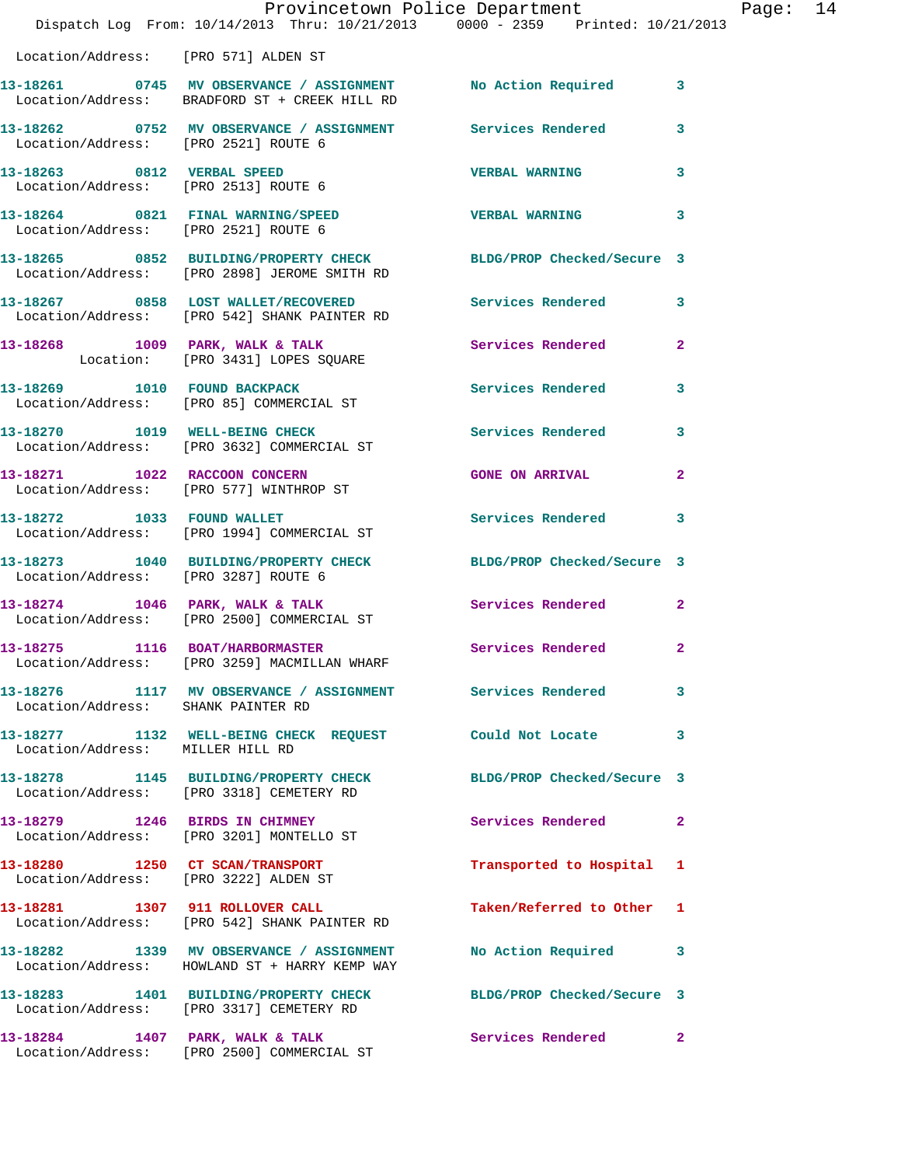|                                      | Provincetown Police Department<br>Dispatch Log From: 10/14/2013 Thru: 10/21/2013 0000 - 2359 Printed: 10/21/2013                |                                        |                | Page: 14 |  |
|--------------------------------------|---------------------------------------------------------------------------------------------------------------------------------|----------------------------------------|----------------|----------|--|
| Location/Address: [PRO 571] ALDEN ST |                                                                                                                                 |                                        |                |          |  |
|                                      | 13-18261 0745 MV OBSERVANCE / ASSIGNMENT No Action Required 3<br>Location/Address: BRADFORD ST + CREEK HILL RD                  |                                        |                |          |  |
| Location/Address: [PRO 2521] ROUTE 6 | 13-18262 0752 MV OBSERVANCE / ASSIGNMENT Services Rendered 3                                                                    |                                        |                |          |  |
|                                      |                                                                                                                                 | <b>VERBAL WARNING</b>                  | 3              |          |  |
| Location/Address: [PRO 2521] ROUTE 6 | 13-18264 0821 FINAL WARNING/SPEED                                                                                               | <b>VERBAL WARNING</b>                  | 3              |          |  |
|                                      | 13-18265 0852 BUILDING/PROPERTY CHECK BLDG/PROP Checked/Secure 3<br>Location/Address: [PRO 2898] JEROME SMITH RD                |                                        |                |          |  |
|                                      | 13-18267 0858 LOST WALLET/RECOVERED Services Rendered<br>Location/Address: [PRO 542] SHANK PAINTER RD                           |                                        | $\mathbf{3}$   |          |  |
|                                      | 13-18268 1009 PARK, WALK & TALK<br>Location: [PRO 3431] LOPES SQUARE                                                            | Services Rendered                      | $\overline{2}$ |          |  |
|                                      | 13-18269 1010 FOUND BACKPACK<br>Location/Address: [PRO 85] COMMERCIAL ST                                                        | Services Rendered                      | 3              |          |  |
|                                      | 13-18270 1019 WELL-BEING CHECK<br>Location/Address: [PRO 3632] COMMERCIAL ST                                                    | Services Rendered 3                    |                |          |  |
|                                      | 13-18271 1022 RACCOON CONCERN<br>Location/Address: [PRO 577] WINTHROP ST                                                        | <b>GONE ON ARRIVAL</b>                 | $\mathbf{2}$   |          |  |
|                                      | 13-18272 1033 FOUND WALLET<br>Location/Address: [PRO 1994] COMMERCIAL ST                                                        | Services Rendered 3                    |                |          |  |
| Location/Address: [PRO 3287] ROUTE 6 | 13-18273 1040 BUILDING/PROPERTY CHECK BLDG/PROP Checked/Secure 3                                                                |                                        |                |          |  |
|                                      | 13-18274 1046 PARK, WALK & TALK 1988 Services Rendered 2<br>Location/Address: [PRO 2500] COMMERCIAL ST                          |                                        |                |          |  |
| 13-18275 1116 BOAT/HARBORMASTER      | Location/Address: [PRO 3259] MACMILLAN WHARF                                                                                    | Services Rendered                      | $\mathbf{2}$   |          |  |
|                                      | 13-18276          1117   MV OBSERVANCE / ASSIGNMENT                Services Rendered<br>Location/Address:      SHANK PAINTER RD |                                        | 3              |          |  |
| Location/Address: MILLER HILL RD     | 13-18277 1132 WELL-BEING CHECK REQUEST Could Not Locate                                                                         |                                        | 3              |          |  |
|                                      | 13-18278 1145 BUILDING/PROPERTY CHECK BLDG/PROP Checked/Secure 3<br>Location/Address: [PRO 3318] CEMETERY RD                    |                                        |                |          |  |
|                                      | 13-18279 1246 BIRDS IN CHIMNEY<br>Location/Address: [PRO 3201] MONTELLO ST                                                      | Services Rendered                      | 2              |          |  |
|                                      | 13-18280 1250 CT SCAN/TRANSPORT<br>Location/Address: [PRO 3222] ALDEN ST                                                        | Transported to Hospital 1              |                |          |  |
|                                      | 13-18281 1307 911 ROLLOVER CALL<br>Location/Address: [PRO 542] SHANK PAINTER RD                                                 | Taken/Referred to Other 1              |                |          |  |
|                                      | 13-18282 1339 MV OBSERVANCE / ASSIGNMENT No Action Required 3<br>Location/Address: HOWLAND ST + HARRY KEMP WAY                  |                                        |                |          |  |
|                                      | 13-18283 1401 BUILDING/PROPERTY CHECK BLDG/PROP Checked/Secure 3<br>Location/Address: [PRO 3317] CEMETERY RD                    |                                        |                |          |  |
|                                      | 13-18284 1407 PARK, WALK & TALK                                                                                                 | <b>Services Rendered 22 Services</b> 2 |                |          |  |

Location/Address: [PRO 2500] COMMERCIAL ST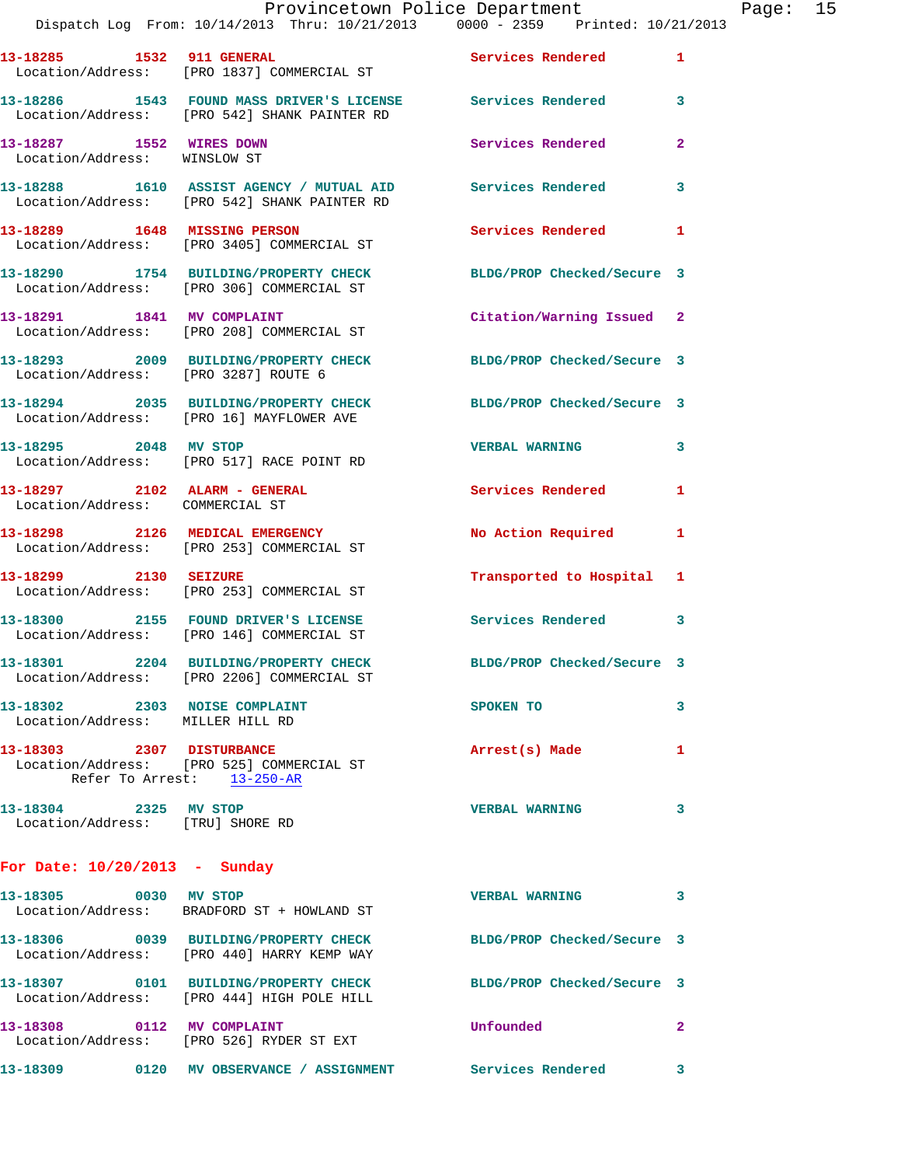|                                                          |                                                                                                               | Provincetown Police Department |              | Page: 15 |  |
|----------------------------------------------------------|---------------------------------------------------------------------------------------------------------------|--------------------------------|--------------|----------|--|
|                                                          | Dispatch Log From: 10/14/2013 Thru: 10/21/2013 0000 - 2359 Printed: 10/21/2013                                |                                |              |          |  |
|                                                          | 13-18285 1532 911 GENERAL ST Services Rendered 1<br>Location/Address: [PRO 1837] COMMERCIAL ST                |                                |              |          |  |
|                                                          | 13-18286 1543 FOUND MASS DRIVER'S LICENSE Services Rendered 3<br>Location/Address: [PRO 542] SHANK PAINTER RD |                                |              |          |  |
| 13-18287 1552 WIRES DOWN<br>Location/Address: WINSLOW ST |                                                                                                               | <b>Services Rendered</b> 2     |              |          |  |
|                                                          | 13-18288 1610 ASSIST AGENCY / MUTUAL AID Services Rendered 3<br>Location/Address: [PRO 542] SHANK PAINTER RD  |                                |              |          |  |
|                                                          | 13-18289 1648 MISSING PERSON<br>Location/Address: [PRO 3405] COMMERCIAL ST                                    | Services Rendered 1            |              |          |  |
|                                                          | 13-18290 1754 BUILDING/PROPERTY CHECK BLDG/PROP Checked/Secure 3<br>Location/Address: [PRO 306] COMMERCIAL ST |                                |              |          |  |
|                                                          | 13-18291 1841 MV COMPLAINT<br>Location/Address: [PRO 208] COMMERCIAL ST                                       | Citation/Warning Issued 2      |              |          |  |
|                                                          | 13-18293 2009 BUILDING/PROPERTY CHECK BLDG/PROP Checked/Secure 3<br>Location/Address: [PRO 3287] ROUTE 6      |                                |              |          |  |
|                                                          | 13-18294 2035 BUILDING/PROPERTY CHECK BLDG/PROP Checked/Secure 3<br>Location/Address: [PRO 16] MAYFLOWER AVE  |                                |              |          |  |
| 13-18295 2048 MV STOP                                    | Location/Address: [PRO 517] RACE POINT RD                                                                     | VERBAL WARNING 3               |              |          |  |
| Location/Address: COMMERCIAL ST                          | 13-18297 2102 ALARM - GENERAL Services Rendered                                                               |                                | $\mathbf{1}$ |          |  |
|                                                          | 13-18298 2126 MEDICAL EMERGENCY<br>Location/Address: [PRO 253] COMMERCIAL ST                                  | No Action Required 1           |              |          |  |
|                                                          | 13-18299 2130 SEIZURE<br>Location/Address: [PRO 253] COMMERCIAL ST                                            | Transported to Hospital 1      |              |          |  |
|                                                          | 13-18300 2155 FOUND DRIVER'S LICENSE<br>Location/Address: [PRO 146] COMMERCIAL ST                             | Services Rendered              | 3            |          |  |
|                                                          | 13-18301 2204 BUILDING/PROPERTY CHECK<br>Location/Address: [PRO 2206] COMMERCIAL ST                           | BLDG/PROP Checked/Secure 3     |              |          |  |
| 13-18302 2303 NOISE COMPLAINT<br>Location/Address:       | MILLER HILL RD                                                                                                | SPOKEN TO                      | 3            |          |  |
| 13-18303<br>2307                                         | <b>DISTURBANCE</b>                                                                                            | Arrest(s) Made                 | 1            |          |  |

 Location/Address: [PRO 525] COMMERCIAL ST Refer To Arrest: 13-250-AR **13-18304 2325 MV STOP VERBAL WARNING 3**  Location/Address: [TRU] SHORE RD

## **For Date: 10/20/2013 - Sunday**

| 13-18305                      | 0030 | MV STOP<br>Location/Address: BRADFORD ST + HOWLAND ST      | <b>VERBAL WARNING</b>      |   |
|-------------------------------|------|------------------------------------------------------------|----------------------------|---|
| 13-18306<br>Location/Address: | 0039 | <b>BUILDING/PROPERTY CHECK</b><br>[PRO 440] HARRY KEMP WAY | BLDG/PROP Checked/Secure 3 |   |
| 13-18307<br>Location/Address: | 0101 | <b>BUILDING/PROPERTY CHECK</b><br>[PRO 444] HIGH POLE HILL | BLDG/PROP Checked/Secure 3 |   |
| 13-18308<br>Location/Address: | 0112 | MV COMPLAINT<br>[PRO 526] RYDER ST EXT                     | Unfounded                  | 2 |
| 13-18309                      | 0120 | <b>MV OBSERVANCE</b><br><b>ASSIGNMENT</b>                  | Services Rendered          |   |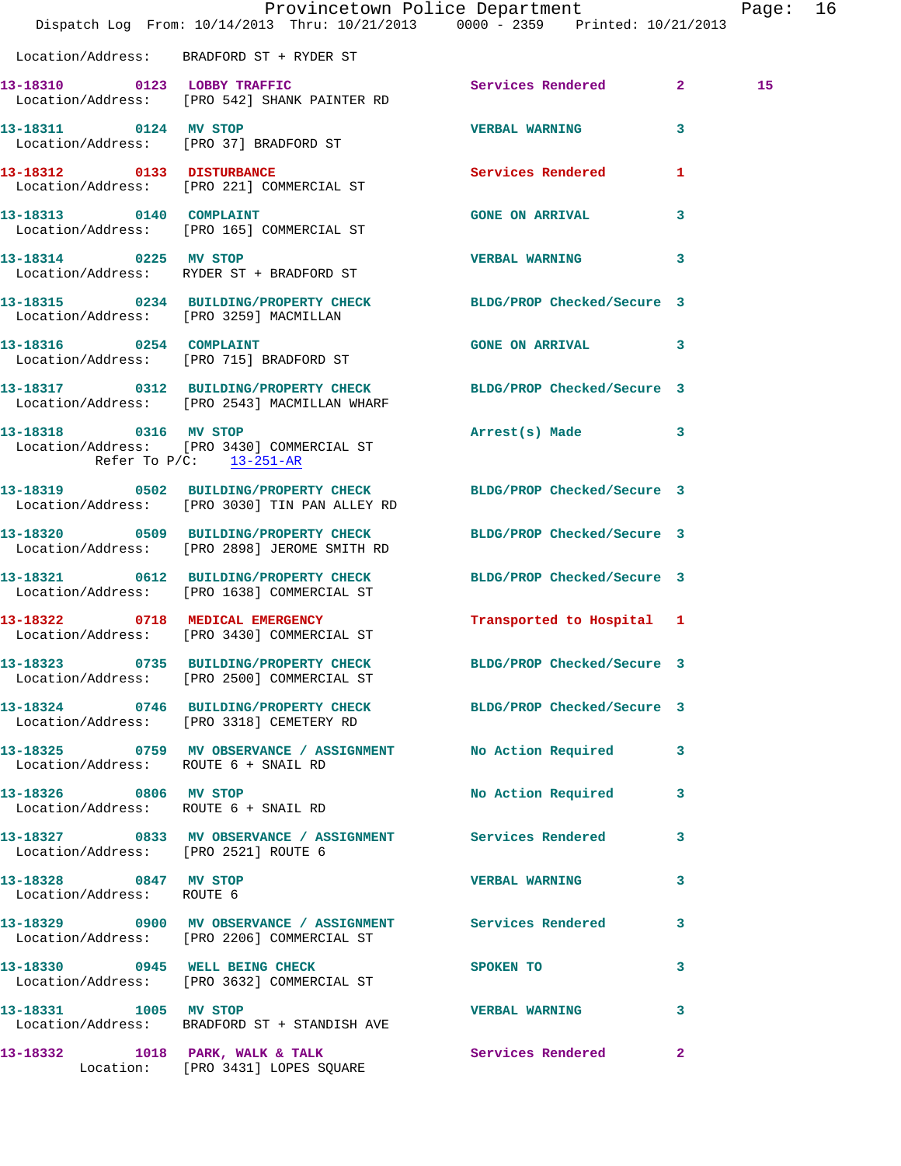|                                                     | Dispatch Log From: 10/14/2013 Thru: 10/21/2013 0000 - 2359 Printed: 10/21/2013                                      | Provincetown Police Department Page: 16 |              |    |  |
|-----------------------------------------------------|---------------------------------------------------------------------------------------------------------------------|-----------------------------------------|--------------|----|--|
|                                                     | Location/Address: BRADFORD ST + RYDER ST                                                                            |                                         |              |    |  |
|                                                     | 13-18310 0123 LOBBY TRAFFIC<br>Location/Address: [PRO 542] SHANK PAINTER RD                                         | Services Rendered 2                     |              | 15 |  |
|                                                     | 13-18311 0124 MV STOP<br>Location/Address: [PRO 37] BRADFORD ST                                                     | VERBAL WARNING 3                        |              |    |  |
|                                                     | 13-18312 0133 DISTURBANCE<br>Location/Address: [PRO 221] COMMERCIAL ST                                              | Services Rendered 1                     |              |    |  |
|                                                     | 13-18313 0140 COMPLAINT<br>Location/Address: [PRO 165] COMMERCIAL ST                                                | <b>GONE ON ARRIVAL</b>                  | 3            |    |  |
| 13-18314 0225 MV STOP                               | Location/Address: RYDER ST + BRADFORD ST                                                                            | VERBAL WARNING 3                        |              |    |  |
|                                                     | 13-18315 0234 BUILDING/PROPERTY CHECK BLDG/PROP Checked/Secure 3<br>Location/Address: [PRO 3259] MACMILLAN          |                                         |              |    |  |
| 13-18316 0254 COMPLAINT                             | Location/Address: [PRO 715] BRADFORD ST                                                                             | GONE ON ARRIVAL 3                       |              |    |  |
|                                                     | 13-18317   0312   BUILDING/PROPERTY CHECK BLDG/PROP Checked/Secure 3   Location/Address: [PRO 2543] MACMILLAN WHARF |                                         |              |    |  |
| 13-18318 0316 MV STOP<br>Refer To $P/C$ : 13-251-AR | Location/Address: [PRO 3430] COMMERCIAL ST                                                                          | Arrest(s) Made 3                        |              |    |  |
|                                                     | 13-18319 0502 BUILDING/PROPERTY CHECK BLDG/PROP Checked/Secure 3<br>Location/Address: [PRO 3030] TIN PAN ALLEY RD   |                                         |              |    |  |
|                                                     | 13-18320 0509 BUILDING/PROPERTY CHECK<br>Location/Address: [PRO 2898] JEROME SMITH RD                               | BLDG/PROP Checked/Secure 3              |              |    |  |
|                                                     | 13-18321 0612 BUILDING/PROPERTY CHECK BLDG/PROP Checked/Secure 3<br>Location/Address: [PRO 1638] COMMERCIAL ST      |                                         |              |    |  |
|                                                     | 13-18322 0718 MEDICAL EMERGENCY<br>Location/Address: [PRO 3430] COMMERCIAL ST                                       | Transported to Hospital 1               |              |    |  |
|                                                     | 13-18323 0735 BUILDING/PROPERTY CHECK<br>Location/Address: [PRO 2500] COMMERCIAL ST                                 | BLDG/PROP Checked/Secure 3              |              |    |  |
|                                                     | 13-18324 0746 BUILDING/PROPERTY CHECK BLDG/PROP Checked/Secure 3<br>Location/Address: [PRO 3318] CEMETERY RD        |                                         |              |    |  |
|                                                     | 13-18325 0759 MV OBSERVANCE / ASSIGNMENT No Action Required 3<br>Location/Address: ROUTE 6 + SNAIL RD               |                                         |              |    |  |
|                                                     | 13-18326 0806 MV STOP<br>Location/Address: ROUTE 6 + SNAIL RD                                                       | No Action Required 3                    |              |    |  |
| Location/Address: [PRO 2521] ROUTE 6                | 13-18327 0833 MV OBSERVANCE / ASSIGNMENT Services Rendered 3                                                        |                                         |              |    |  |
| 13-18328 0847 MV STOP<br>Location/Address: ROUTE 6  |                                                                                                                     | <b>VERBAL WARNING</b>                   | 3            |    |  |
|                                                     | 13-18329 0900 MV OBSERVANCE / ASSIGNMENT Services Rendered 3<br>Location/Address: [PRO 2206] COMMERCIAL ST          |                                         |              |    |  |
|                                                     | 13-18330 0945 WELL BEING CHECK<br>Location/Address: [PRO 3632] COMMERCIAL ST                                        | SPOKEN TO                               | $\mathbf{3}$ |    |  |
| 13-18331 1005 MV STOP                               | Location/Address: BRADFORD ST + STANDISH AVE                                                                        | VERBAL WARNING 3                        |              |    |  |
|                                                     | 13-18332 1018 PARK, WALK & TALK 6 Services Rendered 2<br>Location: [PRO 3431] LOPES SQUARE                          |                                         |              |    |  |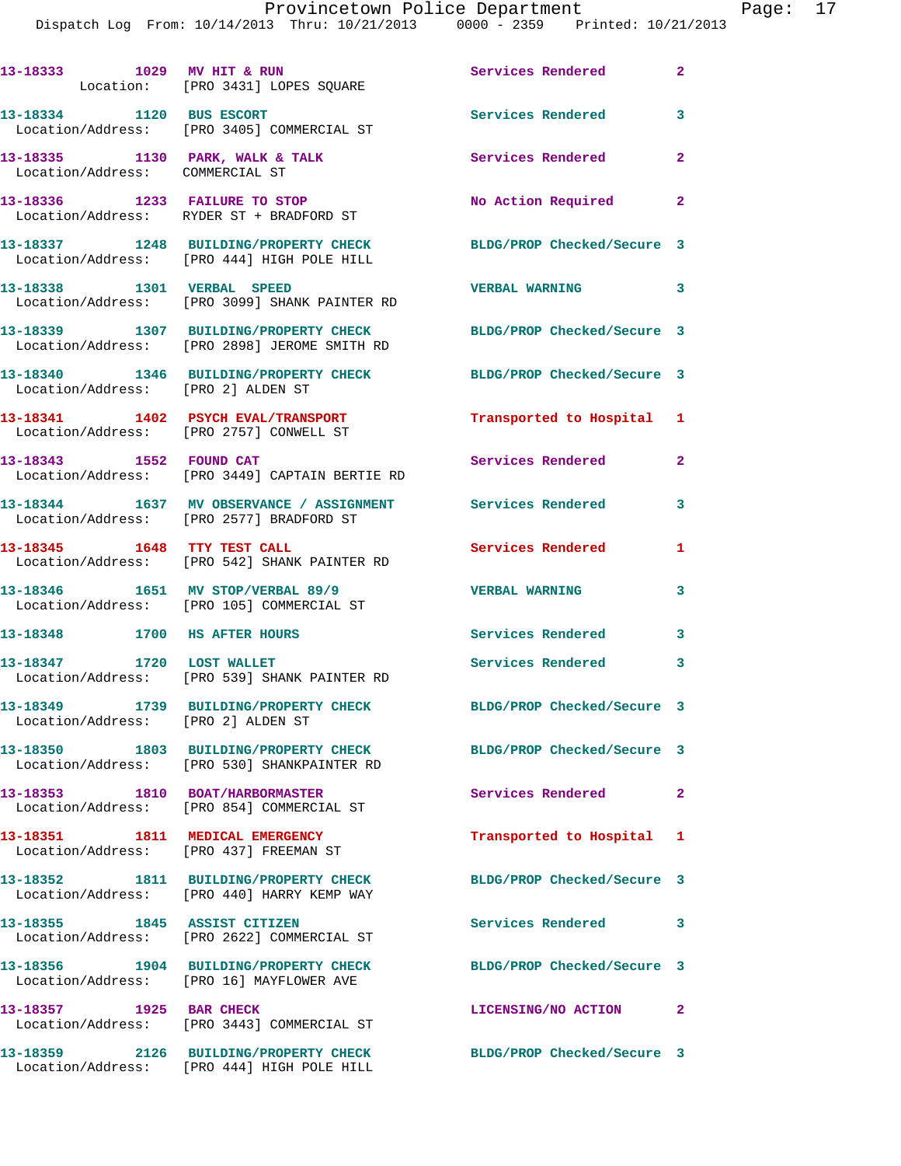Dispatch Log From: 10/14/2013 Thru: 10/21/2013 0000 - 2359 Printed: 10/21/2013

|                                        | 13-18333 1029 MV HIT & RUN<br>Location: [PRO 3431] LOPES SQUARE                                        | Services Rendered                                   | $\sim$ 2                |
|----------------------------------------|--------------------------------------------------------------------------------------------------------|-----------------------------------------------------|-------------------------|
| 13-18334 1120 BUS ESCORT               | Location/Address: [PRO 3405] COMMERCIAL ST                                                             | Services Rendered 3                                 |                         |
| Location/Address: COMMERCIAL ST        | 13-18335 1130 PARK, WALK & TALK                                                                        | <b>Services Rendered</b>                            | $\overline{2}$          |
|                                        | 13-18336 1233 FAILURE TO STOP<br>Location/Address: RYDER ST + BRADFORD ST                              | No Action Required 2                                |                         |
|                                        | 13-18337 1248 BUILDING/PROPERTY CHECK<br>Location/Address: [PRO 444] HIGH POLE HILL                    | BLDG/PROP Checked/Secure 3                          |                         |
| 13-18338 1301 VERBAL SPEED             | Location/Address: [PRO 3099] SHANK PAINTER RD                                                          | $\overline{\phantom{a}}$ 3<br><b>VERBAL WARNING</b> |                         |
|                                        | 13-18339 1307 BUILDING/PROPERTY CHECK<br>Location/Address: [PRO 2898] JEROME SMITH RD                  | BLDG/PROP Checked/Secure 3                          |                         |
| Location/Address: [PRO 2] ALDEN ST     | 13-18340 1346 BUILDING/PROPERTY CHECK                                                                  | BLDG/PROP Checked/Secure 3                          |                         |
|                                        | 13-18341 1402 PSYCH EVAL/TRANSPORT<br>Location/Address: [PRO 2757] CONWELL ST                          | Transported to Hospital 1                           |                         |
| 13-18343 1552 FOUND CAT                | Location/Address: [PRO 3449] CAPTAIN BERTIE RD                                                         | Services Rendered                                   | $\overline{2}$          |
|                                        | 13-18344 1637 MV OBSERVANCE / ASSIGNMENT Services Rendered<br>Location/Address: [PRO 2577] BRADFORD ST |                                                     | 3                       |
|                                        | 13-18345    1648 TTY TEST CALL<br>Location/Address: [PRO 542] SHANK PAINTER RD                         | Services Rendered                                   | 1                       |
|                                        | 13-18346 1651 MV STOP/VERBAL 89/9<br>Location/Address: [PRO 105] COMMERCIAL ST                         | <b>VERBAL WARNING</b>                               | 3                       |
| 13-18348 1700 HS AFTER HOURS           |                                                                                                        | <b>Services Rendered</b>                            | 3                       |
| 13-18347 1720 LOST WALLET              | Location/Address: [PRO 539] SHANK PAINTER RD                                                           | <b>Services Rendered</b>                            | $\overline{\mathbf{3}}$ |
| Location/Address: [PRO 2] ALDEN ST     | 13-18349 1739 BUILDING/PROPERTY CHECK                                                                  | BLDG/PROP Checked/Secure 3                          |                         |
|                                        | 13-18350 1803 BUILDING/PROPERTY CHECK<br>Location/Address: [PRO 530] SHANKPAINTER RD                   | BLDG/PROP Checked/Secure 3                          |                         |
| 13-18353 1810 BOAT/HARBORMASTER        | Location/Address: [PRO 854] COMMERCIAL ST                                                              | Services Rendered 2                                 |                         |
| Location/Address: [PRO 437] FREEMAN ST | 13-18351 1811 MEDICAL EMERGENCY                                                                        | Transported to Hospital 1                           |                         |
|                                        | 13-18352 1811 BUILDING/PROPERTY CHECK<br>Location/Address: [PRO 440] HARRY KEMP WAY                    | BLDG/PROP Checked/Secure 3                          |                         |
| 13-18355 1845 ASSIST CITIZEN           | Location/Address: [PRO 2622] COMMERCIAL ST                                                             | Services Rendered                                   | 3                       |
|                                        | 13-18356 1904 BUILDING/PROPERTY CHECK<br>Location/Address: [PRO 16] MAYFLOWER AVE                      | BLDG/PROP Checked/Secure 3                          |                         |
| 13-18357 1925 BAR CHECK                | Location/Address: [PRO 3443] COMMERCIAL ST                                                             | LICENSING/NO ACTION                                 | $\mathbf{2}$            |
|                                        | 13-18359 2126 BUILDING/PROPERTY CHECK<br>Location/Address: [PRO 444] HIGH POLE HILL                    | BLDG/PROP Checked/Secure 3                          |                         |